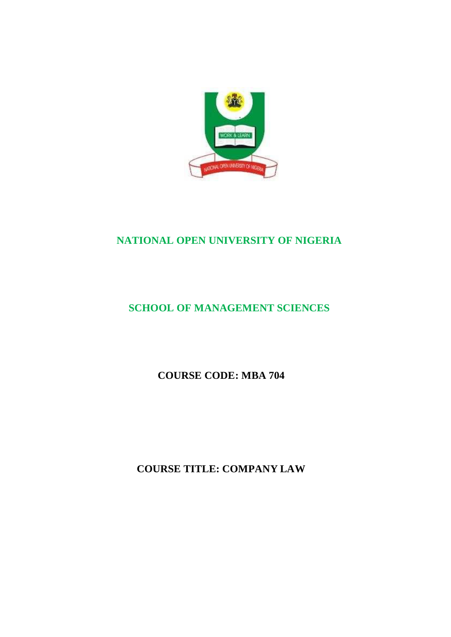

# **NATIONAL OPEN UNIVERSITY OF NIGERIA**

# **SCHOOL OF MANAGEMENT SCIENCES**

**COURSE CODE: MBA 704**

**COURSE TITLE: COMPANY LAW**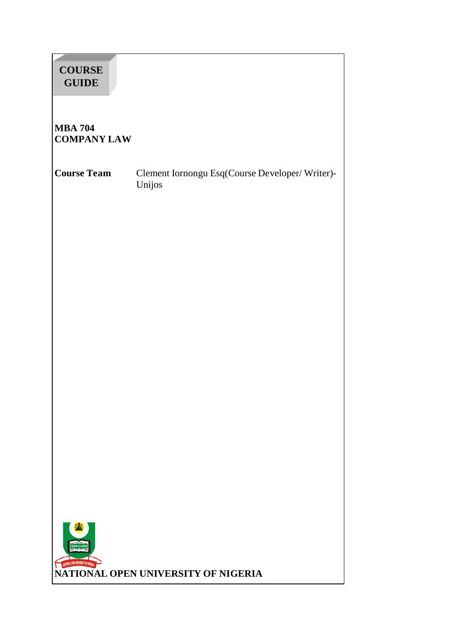| <b>COURSE</b><br><b>GUIDE</b>        |                                                          |
|--------------------------------------|----------------------------------------------------------|
| <b>MBA 704</b><br><b>COMPANY LAW</b> |                                                          |
| <b>Course Team</b>                   | Clement Iornongu Esq(Course Developer/Writer)-<br>Unijos |
|                                      |                                                          |
|                                      |                                                          |
|                                      |                                                          |
|                                      |                                                          |
|                                      |                                                          |
|                                      |                                                          |
|                                      |                                                          |
| KATIONAL OPEN UNIVERSITY OF NIGERIA  | NATIONAL OPEN UNIVERSITY OF NIGERIA                      |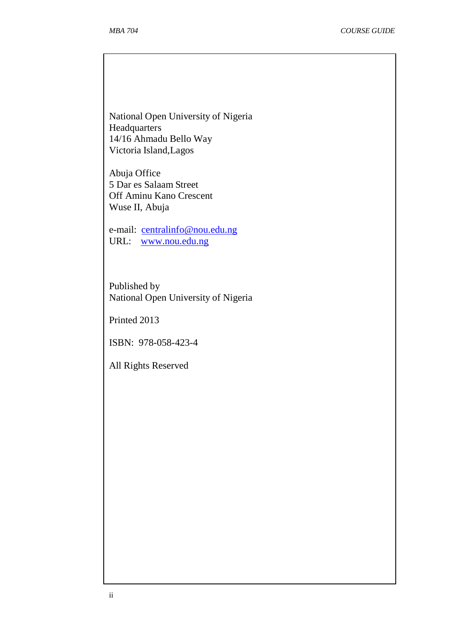National Open University of Nigeria Headquarters 14/16 Ahmadu Bello Way Victoria Island,Lagos

Abuja Office 5 Dar es Salaam Street Off Aminu Kano Crescent Wuse II, Abuja

e-mail: [centralinfo@nou.edu.ng](mailto:centralinfo@nou.edu.ng) URL: [www.nou.edu.ng](http://www.nou.edu.ng/)

Published by National Open University of Nigeria

Printed 2013

ISBN: 978-058-423-4

All Rights Reserved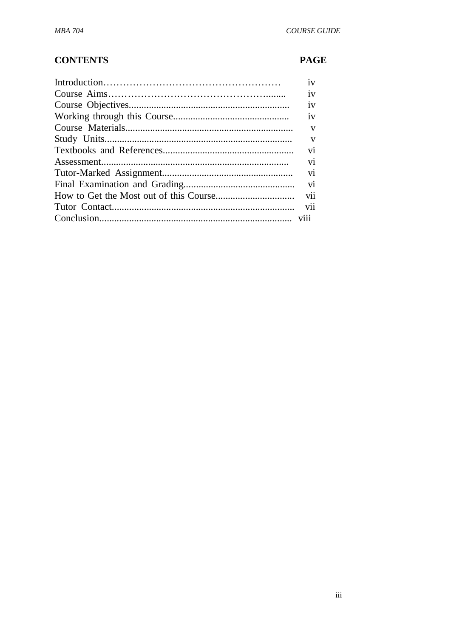# **CONTENTS**

## **PAGE**

| iv             |
|----------------|
| 1V             |
| iv             |
| 1V             |
| V              |
| V              |
| vi             |
| V1             |
| vi             |
| vi             |
| <b>V11</b>     |
| V <sub>1</sub> |
|                |
|                |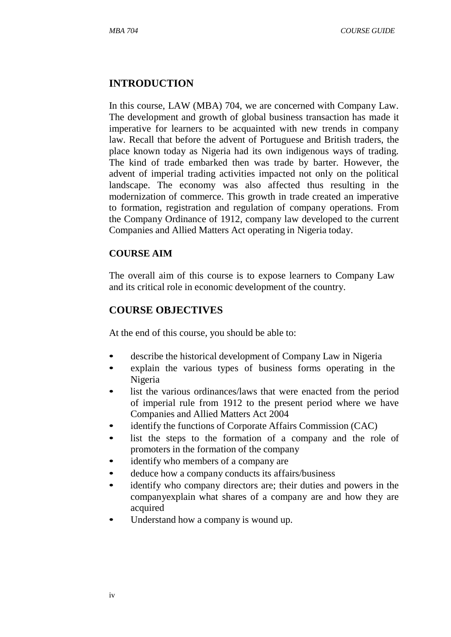## **INTRODUCTION**

In this course, LAW (MBA) 704, we are concerned with Company Law. The development and growth of global business transaction has made it imperative for learners to be acquainted with new trends in company law. Recall that before the advent of Portuguese and British traders, the place known today as Nigeria had its own indigenous ways of trading. The kind of trade embarked then was trade by barter. However, the advent of imperial trading activities impacted not only on the political landscape. The economy was also affected thus resulting in the modernization of commerce. This growth in trade created an imperative to formation, registration and regulation of company operations. From the Company Ordinance of 1912, company law developed to the current Companies and Allied Matters Act operating in Nigeria today.

#### **COURSE AIM**

The overall aim of this course is to expose learners to Company Law and its critical role in economic development of the country.

## **COURSE OBJECTIVES**

At the end of this course, you should be able to:

- describe the historical development of Company Law in Nigeria
- explain the various types of business forms operating in the Nigeria
- list the various ordinances/laws that were enacted from the period of imperial rule from 1912 to the present period where we have Companies and Allied Matters Act 2004
- identify the functions of Corporate Affairs Commission (CAC)
- list the steps to the formation of a company and the role of promoters in the formation of the company
- identify who members of a company are
- deduce how a company conducts its affairs/business
- identify who company directors are; their duties and powers in the companyexplain what shares of a company are and how they are acquired
- Understand how a company is wound up.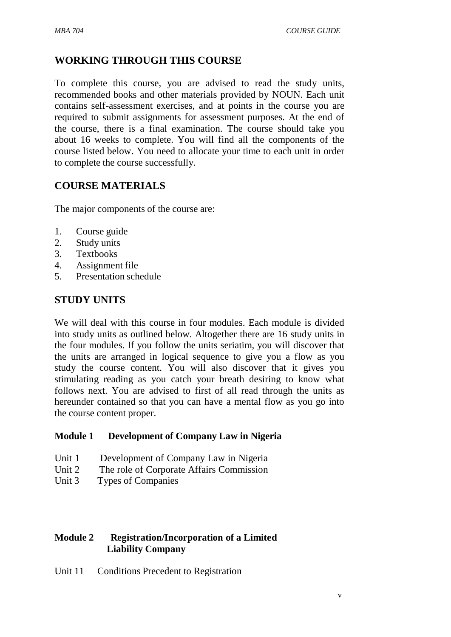# **WORKING THROUGH THIS COURSE**

To complete this course, you are advised to read the study units, recommended books and other materials provided by NOUN. Each unit contains self-assessment exercises, and at points in the course you are required to submit assignments for assessment purposes. At the end of the course, there is a final examination. The course should take you about 16 weeks to complete. You will find all the components of the course listed below. You need to allocate your time to each unit in order to complete the course successfully.

## **COURSE MATERIALS**

The major components of the course are:

- 1. Course guide
- 2. Study units
- 3. Textbooks
- 4. Assignment file
- 5. Presentation schedule

## **STUDY UNITS**

We will deal with this course in four modules. Each module is divided into study units as outlined below. Altogether there are 16 study units in the four modules. If you follow the units seriatim, you will discover that the units are arranged in logical sequence to give you a flow as you study the course content. You will also discover that it gives you stimulating reading as you catch your breath desiring to know what follows next. You are advised to first of all read through the units as hereunder contained so that you can have a mental flow as you go into the course content proper.

#### **Module 1 Development of Company Law in Nigeria**

- Unit 1 Development of Company Law in Nigeria
- Unit 2 The role of Corporate Affairs Commission
- Unit 3 Types of Companies

#### **Module 2 Registration/Incorporation of a Limited Liability Company**

Unit 11 Conditions Precedent to Registration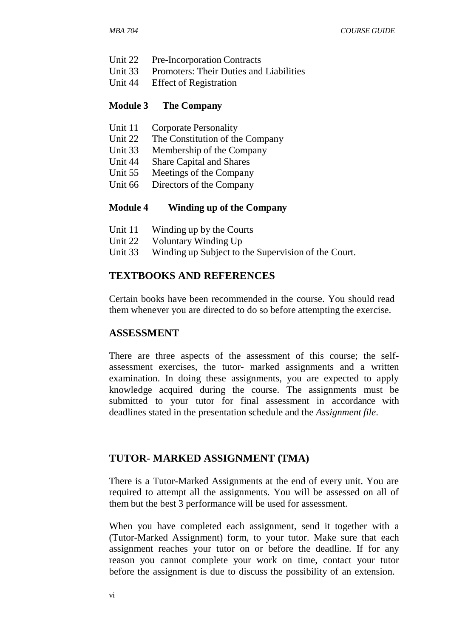- Unit 22 Pre-Incorporation Contracts
- Unit 33 Promoters: Their Duties and Liabilities
- Unit 44 Effect of Registration

#### **Module 3 The Company**

- Unit 11 Corporate Personality
- Unit 22 The Constitution of the Company
- Unit 33 Membership of the Company
- Unit 44 Share Capital and Shares
- Unit 55 Meetings of the Company
- Unit 66 Directors of the Company

#### **Module 4 Winding up of the Company**

- Unit 11 Winding up by the Courts
- Unit 22 Voluntary Winding Up
- Unit 33 Winding up Subject to the Supervision of the Court.

#### **TEXTBOOKS AND REFERENCES**

Certain books have been recommended in the course. You should read them whenever you are directed to do so before attempting the exercise.

#### **ASSESSMENT**

There are three aspects of the assessment of this course; the selfassessment exercises, the tutor- marked assignments and a written examination. In doing these assignments, you are expected to apply knowledge acquired during the course. The assignments must be submitted to your tutor for final assessment in accordance with deadlines stated in the presentation schedule and the *Assignment file*.

#### **TUTOR- MARKED ASSIGNMENT (TMA)**

There is a Tutor-Marked Assignments at the end of every unit. You are required to attempt all the assignments. You will be assessed on all of them but the best 3 performance will be used for assessment.

When you have completed each assignment, send it together with a (Tutor-Marked Assignment) form, to your tutor. Make sure that each assignment reaches your tutor on or before the deadline. If for any reason you cannot complete your work on time, contact your tutor before the assignment is due to discuss the possibility of an extension.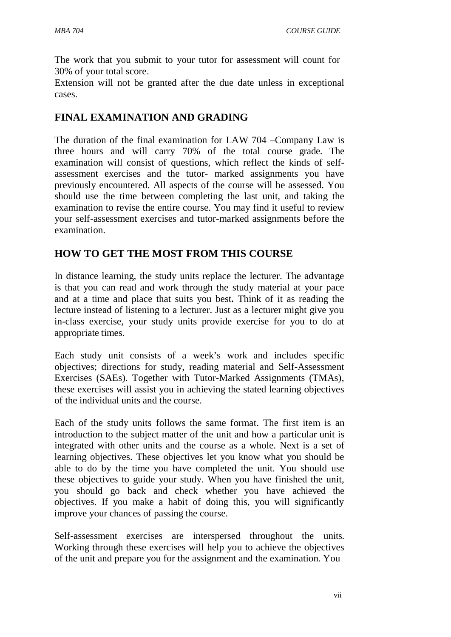The work that you submit to your tutor for assessment will count for 30% of your total score.

Extension will not be granted after the due date unless in exceptional cases.

# **FINAL EXAMINATION AND GRADING**

The duration of the final examination for LAW 704 –Company Law is three hours and will carry 70% of the total course grade. The examination will consist of questions, which reflect the kinds of selfassessment exercises and the tutor- marked assignments you have previously encountered. All aspects of the course will be assessed. You should use the time between completing the last unit, and taking the examination to revise the entire course. You may find it useful to review your self-assessment exercises and tutor-marked assignments before the examination.

## **HOW TO GET THE MOST FROM THIS COURSE**

In distance learning, the study units replace the lecturer. The advantage is that you can read and work through the study material at your pace and at a time and place that suits you best**.** Think of it as reading the lecture instead of listening to a lecturer. Just as a lecturer might give you in-class exercise, your study units provide exercise for you to do at appropriate times.

Each study unit consists of a week's work and includes specific objectives; directions for study, reading material and Self-Assessment Exercises (SAEs). Together with Tutor-Marked Assignments (TMAs), these exercises will assist you in achieving the stated learning objectives of the individual units and the course.

Each of the study units follows the same format. The first item is an introduction to the subject matter of the unit and how a particular unit is integrated with other units and the course as a whole. Next is a set of learning objectives. These objectives let you know what you should be able to do by the time you have completed the unit. You should use these objectives to guide your study. When you have finished the unit, you should go back and check whether you have achieved the objectives. If you make a habit of doing this, you will significantly improve your chances of passing the course.

Self-assessment exercises are interspersed throughout the units. Working through these exercises will help you to achieve the objectives of the unit and prepare you for the assignment and the examination. You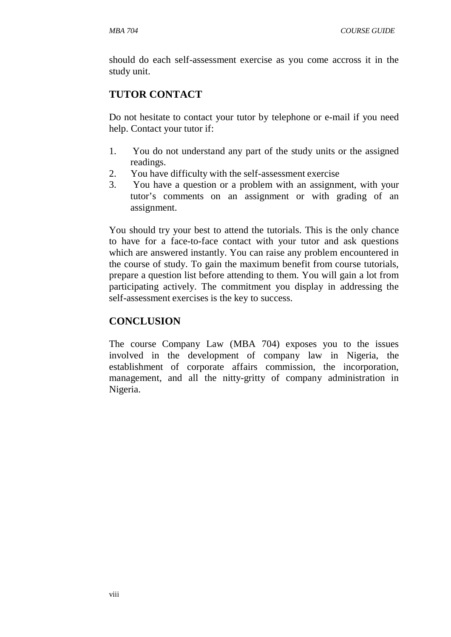should do each self-assessment exercise as you come accross it in the study unit.

# **TUTOR CONTACT**

Do not hesitate to contact your tutor by telephone or e-mail if you need help. Contact your tutor if:

- 1. You do not understand any part of the study units or the assigned readings.
- 2. You have difficulty with the self-assessment exercise
- 3. You have a question or a problem with an assignment, with your tutor's comments on an assignment or with grading of an assignment.

You should try your best to attend the tutorials. This is the only chance to have for a face-to-face contact with your tutor and ask questions which are answered instantly. You can raise any problem encountered in the course of study. To gain the maximum benefit from course tutorials, prepare a question list before attending to them. You will gain a lot from participating actively. The commitment you display in addressing the self-assessment exercises is the key to success.

## **CONCLUSION**

The course Company Law (MBA 704) exposes you to the issues involved in the development of company law in Nigeria, the establishment of corporate affairs commission, the incorporation, management, and all the nitty-gritty of company administration in Nigeria.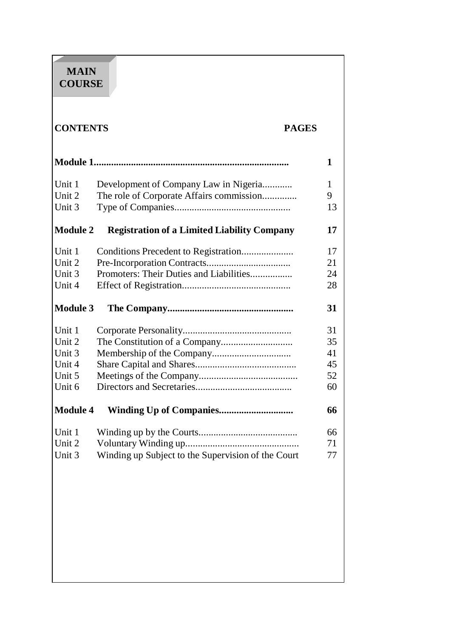# **MAIN COURSE**

# **CONTENTS PAGES**

|                 |                                                    | 1  |
|-----------------|----------------------------------------------------|----|
| Unit 1          | Development of Company Law in Nigeria              | 1  |
| Unit 2          | The role of Corporate Affairs commission           | 9  |
| Unit 3          |                                                    | 13 |
| <b>Module 2</b> | <b>Registration of a Limited Liability Company</b> | 17 |
| Unit 1          |                                                    | 17 |
| Unit 2          |                                                    | 21 |
| Unit 3          | Promoters: Their Duties and Liabilities            | 24 |
| Unit 4          |                                                    | 28 |
| <b>Module 3</b> |                                                    | 31 |
| Unit 1          |                                                    | 31 |
| Unit 2          |                                                    | 35 |
| Unit 3          |                                                    | 41 |
| Unit 4          |                                                    | 45 |
| Unit 5          |                                                    | 52 |
| Unit 6          |                                                    | 60 |
| <b>Module 4</b> |                                                    | 66 |
| Unit 1          |                                                    | 66 |
| Unit 2          |                                                    | 71 |
| Unit 3          | Winding up Subject to the Supervision of the Court | 77 |
|                 |                                                    |    |
|                 |                                                    |    |
|                 |                                                    |    |
|                 |                                                    |    |
|                 |                                                    |    |
|                 |                                                    |    |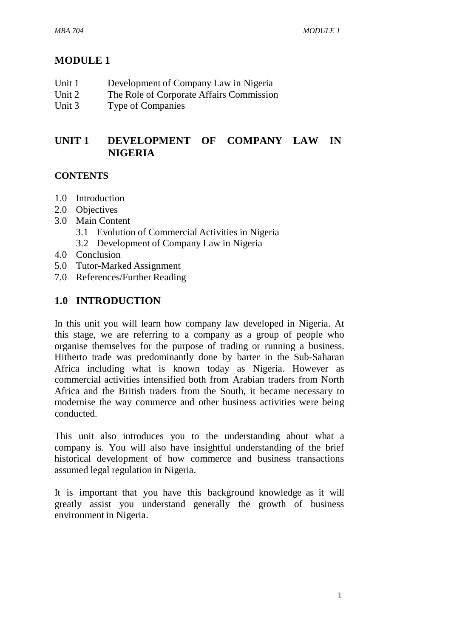# **MODULE 1**

| Unit 1 | Development of Company Law in Nigeria |  |
|--------|---------------------------------------|--|
|        |                                       |  |

- Unit 2 The Role of Corporate Affairs Commission
- Unit 3 Type of Companies

# **UNIT 1 DEVELOPMENT OF COMPANY LAW IN NIGERIA**

#### **CONTENTS**

- 1.0 Introduction
- 2.0 Objectives
- 3.0 Main Content
	- 3.1 Evolution of Commercial Activities in Nigeria
	- 3.2 Development of Company Law in Nigeria
- 4.0 Conclusion
- 5.0 Tutor-Marked Assignment
- 7.0 References/Further Reading

## **1.0 INTRODUCTION**

In this unit you will learn how company law developed in Nigeria. At this stage, we are referring to a company as a group of people who organise themselves for the purpose of trading or running a business. Hitherto trade was predominantly done by barter in the Sub-Saharan Africa including what is known today as Nigeria. However as commercial activities intensified both from Arabian traders from North Africa and the British traders from the South, it became necessary to modernise the way commerce and other business activities were being conducted.

This unit also introduces you to the understanding about what a company is. You will also have insightful understanding of the brief historical development of how commerce and business transactions assumed legal regulation in Nigeria.

It is important that you have this background knowledge as it will greatly assist you understand generally the growth of business environment in Nigeria.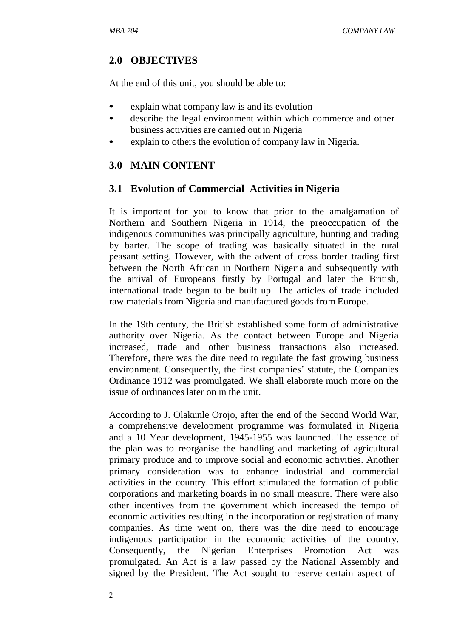## **2.0 OBJECTIVES**

At the end of this unit, you should be able to:

- explain what company law is and its evolution
- describe the legal environment within which commerce and other business activities are carried out in Nigeria
- explain to others the evolution of company law in Nigeria.

## **3.0 MAIN CONTENT**

## **3.1 Evolution of Commercial Activities in Nigeria**

It is important for you to know that prior to the amalgamation of Northern and Southern Nigeria in 1914, the preoccupation of the indigenous communities was principally agriculture, hunting and trading by barter. The scope of trading was basically situated in the rural peasant setting. However, with the advent of cross border trading first between the North African in Northern Nigeria and subsequently with the arrival of Europeans firstly by Portugal and later the British, international trade began to be built up. The articles of trade included raw materials from Nigeria and manufactured goods from Europe.

In the 19th century, the British established some form of administrative authority over Nigeria. As the contact between Europe and Nigeria increased, trade and other business transactions also increased. Therefore, there was the dire need to regulate the fast growing business environment. Consequently, the first companies' statute, the Companies Ordinance 1912 was promulgated. We shall elaborate much more on the issue of ordinances later on in the unit.

According to J. Olakunle Orojo, after the end of the Second World War, a comprehensive development programme was formulated in Nigeria and a 10 Year development, 1945-1955 was launched. The essence of the plan was to reorganise the handling and marketing of agricultural primary produce and to improve social and economic activities. Another primary consideration was to enhance industrial and commercial activities in the country. This effort stimulated the formation of public corporations and marketing boards in no small measure. There were also other incentives from the government which increased the tempo of economic activities resulting in the incorporation or registration of many companies. As time went on, there was the dire need to encourage indigenous participation in the economic activities of the country. Consequently, the Nigerian Enterprises Promotion Act was promulgated. An Act is a law passed by the National Assembly and signed by the President. The Act sought to reserve certain aspect of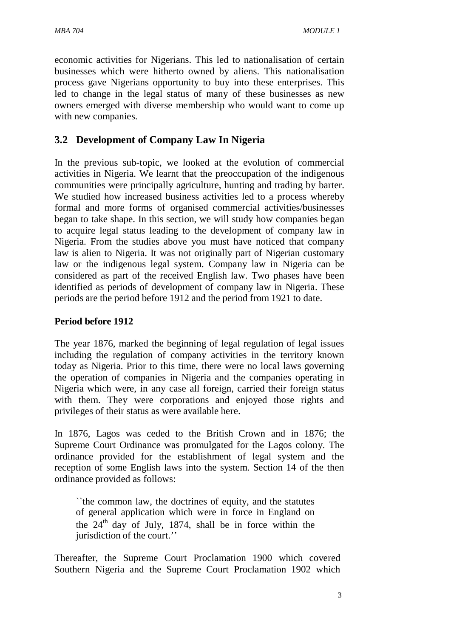economic activities for Nigerians. This led to nationalisation of certain businesses which were hitherto owned by aliens. This nationalisation process gave Nigerians opportunity to buy into these enterprises. This led to change in the legal status of many of these businesses as new owners emerged with diverse membership who would want to come up with new companies.

## **3.2 Development of Company Law In Nigeria**

In the previous sub-topic, we looked at the evolution of commercial activities in Nigeria. We learnt that the preoccupation of the indigenous communities were principally agriculture, hunting and trading by barter. We studied how increased business activities led to a process whereby formal and more forms of organised commercial activities/businesses began to take shape. In this section, we will study how companies began to acquire legal status leading to the development of company law in Nigeria. From the studies above you must have noticed that company law is alien to Nigeria. It was not originally part of Nigerian customary law or the indigenous legal system. Company law in Nigeria can be considered as part of the received English law. Two phases have been identified as periods of development of company law in Nigeria. These periods are the period before 1912 and the period from 1921 to date.

#### **Period before 1912**

The year 1876, marked the beginning of legal regulation of legal issues including the regulation of company activities in the territory known today as Nigeria. Prior to this time, there were no local laws governing the operation of companies in Nigeria and the companies operating in Nigeria which were, in any case all foreign, carried their foreign status with them. They were corporations and enjoyed those rights and privileges of their status as were available here.

In 1876, Lagos was ceded to the British Crown and in 1876; the Supreme Court Ordinance was promulgated for the Lagos colony. The ordinance provided for the establishment of legal system and the reception of some English laws into the system. Section 14 of the then ordinance provided as follows:

``the common law, the doctrines of equity, and the statutes of general application which were in force in England on the  $24<sup>th</sup>$  day of July, 1874, shall be in force within the jurisdiction of the court.''

Thereafter, the Supreme Court Proclamation 1900 which covered Southern Nigeria and the Supreme Court Proclamation 1902 which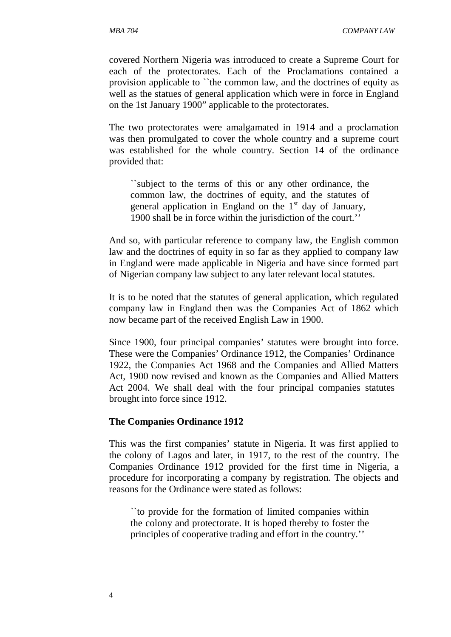covered Northern Nigeria was introduced to create a Supreme Court for each of the protectorates. Each of the Proclamations contained a provision applicable to ``the common law, and the doctrines of equity as well as the statues of general application which were in force in England on the 1st January 1900" applicable to the protectorates.

The two protectorates were amalgamated in 1914 and a proclamation was then promulgated to cover the whole country and a supreme court was established for the whole country. Section 14 of the ordinance provided that:

``subject to the terms of this or any other ordinance, the common law, the doctrines of equity, and the statutes of general application in England on the  $1<sup>st</sup>$  day of January, 1900 shall be in force within the jurisdiction of the court.''

And so, with particular reference to company law, the English common law and the doctrines of equity in so far as they applied to company law in England were made applicable in Nigeria and have since formed part of Nigerian company law subject to any later relevant local statutes.

It is to be noted that the statutes of general application, which regulated company law in England then was the Companies Act of 1862 which now became part of the received English Law in 1900.

Since 1900, four principal companies' statutes were brought into force. These were the Companies' Ordinance 1912, the Companies' Ordinance 1922, the Companies Act 1968 and the Companies and Allied Matters Act, 1900 now revised and known as the Companies and Allied Matters Act 2004. We shall deal with the four principal companies statutes brought into force since 1912.

#### **The Companies Ordinance 1912**

This was the first companies' statute in Nigeria. It was first applied to the colony of Lagos and later, in 1917, to the rest of the country. The Companies Ordinance 1912 provided for the first time in Nigeria, a procedure for incorporating a company by registration. The objects and reasons for the Ordinance were stated as follows:

``to provide for the formation of limited companies within the colony and protectorate. It is hoped thereby to foster the principles of cooperative trading and effort in the country.''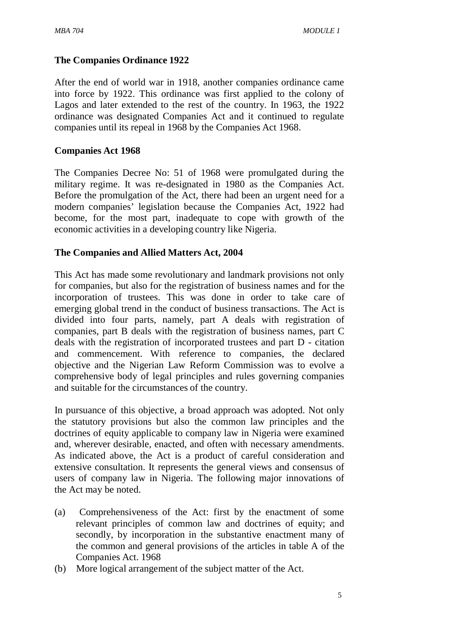#### **The Companies Ordinance 1922**

After the end of world war in 1918, another companies ordinance came into force by 1922. This ordinance was first applied to the colony of Lagos and later extended to the rest of the country. In 1963, the 1922 ordinance was designated Companies Act and it continued to regulate companies until its repeal in 1968 by the Companies Act 1968.

#### **Companies Act 1968**

The Companies Decree No: 51 of 1968 were promulgated during the military regime. It was re-designated in 1980 as the Companies Act. Before the promulgation of the Act, there had been an urgent need for a modern companies' legislation because the Companies Act, 1922 had become, for the most part, inadequate to cope with growth of the economic activities in a developing country like Nigeria.

#### **The Companies and Allied Matters Act, 2004**

This Act has made some revolutionary and landmark provisions not only for companies, but also for the registration of business names and for the incorporation of trustees. This was done in order to take care of emerging global trend in the conduct of business transactions. The Act is divided into four parts, namely, part A deals with registration of companies, part B deals with the registration of business names, part C deals with the registration of incorporated trustees and part D - citation and commencement. With reference to companies, the declared objective and the Nigerian Law Reform Commission was to evolve a comprehensive body of legal principles and rules governing companies and suitable for the circumstances of the country.

In pursuance of this objective, a broad approach was adopted. Not only the statutory provisions but also the common law principles and the doctrines of equity applicable to company law in Nigeria were examined and, wherever desirable, enacted, and often with necessary amendments. As indicated above, the Act is a product of careful consideration and extensive consultation. It represents the general views and consensus of users of company law in Nigeria. The following major innovations of the Act may be noted.

- (a) Comprehensiveness of the Act: first by the enactment of some relevant principles of common law and doctrines of equity; and secondly, by incorporation in the substantive enactment many of the common and general provisions of the articles in table A of the Companies Act. 1968
- (b) More logical arrangement of the subject matter of the Act.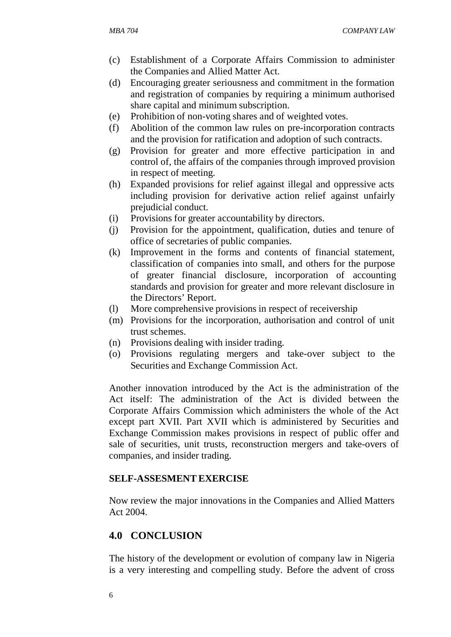- (c) Establishment of a Corporate Affairs Commission to administer the Companies and Allied Matter Act.
- (d) Encouraging greater seriousness and commitment in the formation and registration of companies by requiring a minimum authorised share capital and minimum subscription.
- (e) Prohibition of non-voting shares and of weighted votes.
- (f) Abolition of the common law rules on pre-incorporation contracts and the provision for ratification and adoption of such contracts.
- (g) Provision for greater and more effective participation in and control of, the affairs of the companies through improved provision in respect of meeting.
- (h) Expanded provisions for relief against illegal and oppressive acts including provision for derivative action relief against unfairly prejudicial conduct.
- (i) Provisions for greater accountability by directors.
- (j) Provision for the appointment, qualification, duties and tenure of office of secretaries of public companies.
- (k) Improvement in the forms and contents of financial statement, classification of companies into small, and others for the purpose of greater financial disclosure, incorporation of accounting standards and provision for greater and more relevant disclosure in the Directors' Report.
- (l) More comprehensive provisions in respect of receivership
- (m) Provisions for the incorporation, authorisation and control of unit trust schemes.
- (n) Provisions dealing with insider trading.
- (o) Provisions regulating mergers and take-over subject to the Securities and Exchange Commission Act.

Another innovation introduced by the Act is the administration of the Act itself: The administration of the Act is divided between the Corporate Affairs Commission which administers the whole of the Act except part XVII. Part XVII which is administered by Securities and Exchange Commission makes provisions in respect of public offer and sale of securities, unit trusts, reconstruction mergers and take-overs of companies, and insider trading.

#### **SELF-ASSESMENT EXERCISE**

Now review the major innovations in the Companies and Allied Matters Act 2004.

## **4.0 CONCLUSION**

The history of the development or evolution of company law in Nigeria is a very interesting and compelling study. Before the advent of cross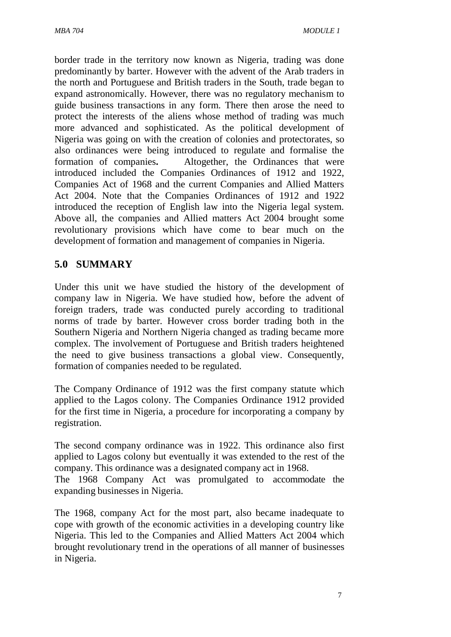border trade in the territory now known as Nigeria, trading was done predominantly by barter. However with the advent of the Arab traders in the north and Portuguese and British traders in the South, trade began to expand astronomically. However, there was no regulatory mechanism to guide business transactions in any form. There then arose the need to protect the interests of the aliens whose method of trading was much more advanced and sophisticated. As the political development of Nigeria was going on with the creation of colonies and protectorates, so also ordinances were being introduced to regulate and formalise the formation of companies**.** Altogether, the Ordinances that were introduced included the Companies Ordinances of 1912 and 1922, Companies Act of 1968 and the current Companies and Allied Matters Act 2004. Note that the Companies Ordinances of 1912 and 1922 introduced the reception of English law into the Nigeria legal system. Above all, the companies and Allied matters Act 2004 brought some revolutionary provisions which have come to bear much on the development of formation and management of companies in Nigeria.

## **5.0 SUMMARY**

Under this unit we have studied the history of the development of company law in Nigeria. We have studied how, before the advent of foreign traders, trade was conducted purely according to traditional norms of trade by barter. However cross border trading both in the Southern Nigeria and Northern Nigeria changed as trading became more complex. The involvement of Portuguese and British traders heightened the need to give business transactions a global view. Consequently, formation of companies needed to be regulated.

The Company Ordinance of 1912 was the first company statute which applied to the Lagos colony. The Companies Ordinance 1912 provided for the first time in Nigeria, a procedure for incorporating a company by registration.

The second company ordinance was in 1922. This ordinance also first applied to Lagos colony but eventually it was extended to the rest of the company. This ordinance was a designated company act in 1968.

The 1968 Company Act was promulgated to accommodate the expanding businesses in Nigeria.

The 1968, company Act for the most part, also became inadequate to cope with growth of the economic activities in a developing country like Nigeria. This led to the Companies and Allied Matters Act 2004 which brought revolutionary trend in the operations of all manner of businesses in Nigeria.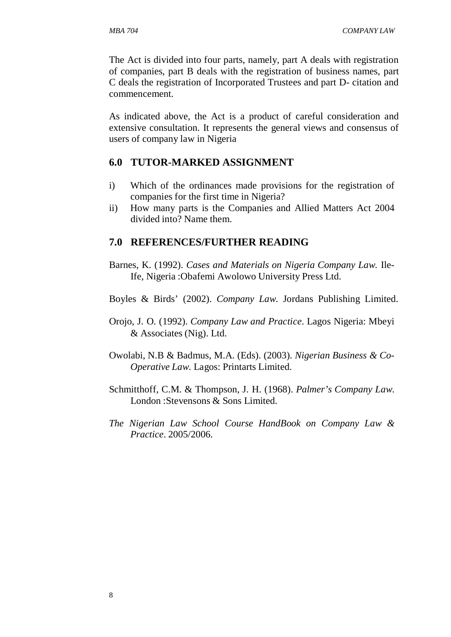The Act is divided into four parts, namely, part A deals with registration of companies, part B deals with the registration of business names, part C deals the registration of Incorporated Trustees and part D- citation and commencement.

As indicated above, the Act is a product of careful consideration and extensive consultation. It represents the general views and consensus of users of company law in Nigeria

#### **6.0 TUTOR-MARKED ASSIGNMENT**

- i) Which of the ordinances made provisions for the registration of companies for the first time in Nigeria?
- ii) How many parts is the Companies and Allied Matters Act 2004 divided into? Name them.

#### **7.0 REFERENCES/FURTHER READING**

- Barnes, K. (1992). *Cases and Materials on Nigeria Company Law.* Ile-Ife, Nigeria :Obafemi Awolowo University Press Ltd.
- Boyles & Birds' (2002). *Company Law*. Jordans Publishing Limited.
- Orojo, J. O. (1992). *Company Law and Practice*. Lagos Nigeria: Mbeyi & Associates (Nig). Ltd.
- Owolabi, N.B & Badmus, M.A. (Eds). (2003). *Nigerian Business & Co-Operative Law*. Lagos: Printarts Limited.
- Schmitthoff, C.M. & Thompson, J. H. (1968). *Palmer's Company Law*. London :Stevensons & Sons Limited.
- *The Nigerian Law School Course HandBook on Company Law & Practice*. 2005/2006.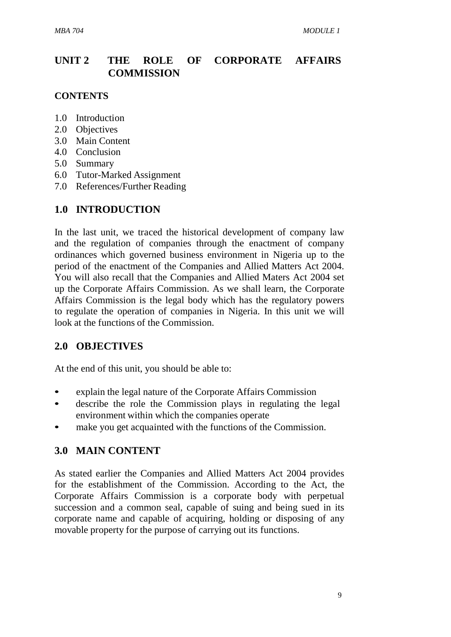# **UNIT 2 THE ROLE OF CORPORATE AFFAIRS COMMISSION**

#### **CONTENTS**

- 1.0 Introduction
- 2.0 Objectives
- 3.0 Main Content
- 4.0 Conclusion
- 5.0 Summary
- 6.0 Tutor-Marked Assignment
- 7.0 References/Further Reading

## **1.0 INTRODUCTION**

In the last unit, we traced the historical development of company law and the regulation of companies through the enactment of company ordinances which governed business environment in Nigeria up to the period of the enactment of the Companies and Allied Matters Act 2004. You will also recall that the Companies and Allied Maters Act 2004 set up the Corporate Affairs Commission. As we shall learn, the Corporate Affairs Commission is the legal body which has the regulatory powers to regulate the operation of companies in Nigeria. In this unit we will look at the functions of the Commission.

## **2.0 OBJECTIVES**

At the end of this unit, you should be able to:

- explain the legal nature of the Corporate Affairs Commission
- describe the role the Commission plays in regulating the legal environment within which the companies operate
- make you get acquainted with the functions of the Commission.

## **3.0 MAIN CONTENT**

As stated earlier the Companies and Allied Matters Act 2004 provides for the establishment of the Commission. According to the Act, the Corporate Affairs Commission is a corporate body with perpetual succession and a common seal, capable of suing and being sued in its corporate name and capable of acquiring, holding or disposing of any movable property for the purpose of carrying out its functions.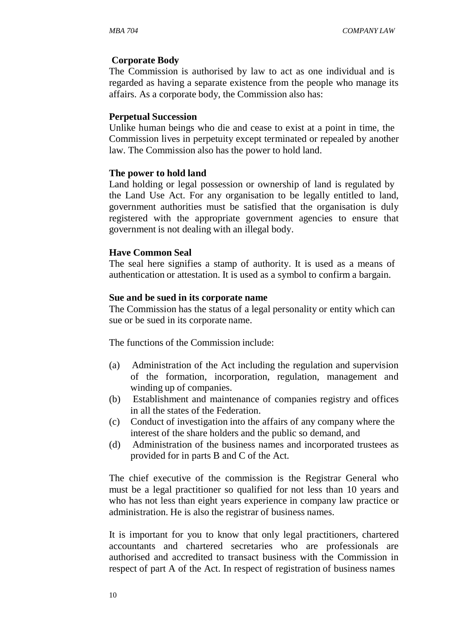#### **Corporate Body**

The Commission is authorised by law to act as one individual and is regarded as having a separate existence from the people who manage its affairs. As a corporate body, the Commission also has:

#### **Perpetual Succession**

Unlike human beings who die and cease to exist at a point in time, the Commission lives in perpetuity except terminated or repealed by another law. The Commission also has the power to hold land.

#### **The power to hold land**

Land holding or legal possession or ownership of land is regulated by the Land Use Act. For any organisation to be legally entitled to land, government authorities must be satisfied that the organisation is duly registered with the appropriate government agencies to ensure that government is not dealing with an illegal body.

#### **Have Common Seal**

The seal here signifies a stamp of authority. It is used as a means of authentication or attestation. It is used as a symbol to confirm a bargain.

#### **Sue and be sued in its corporate name**

The Commission has the status of a legal personality or entity which can sue or be sued in its corporate name.

The functions of the Commission include:

- (a) Administration of the Act including the regulation and supervision of the formation, incorporation, regulation, management and winding up of companies.
- (b) Establishment and maintenance of companies registry and offices in all the states of the Federation.
- (c) Conduct of investigation into the affairs of any company where the interest of the share holders and the public so demand, and
- (d) Administration of the business names and incorporated trustees as provided for in parts B and C of the Act.

The chief executive of the commission is the Registrar General who must be a legal practitioner so qualified for not less than 10 years and who has not less than eight years experience in company law practice or administration. He is also the registrar of business names.

It is important for you to know that only legal practitioners, chartered accountants and chartered secretaries who are professionals are authorised and accredited to transact business with the Commission in respect of part A of the Act. In respect of registration of business names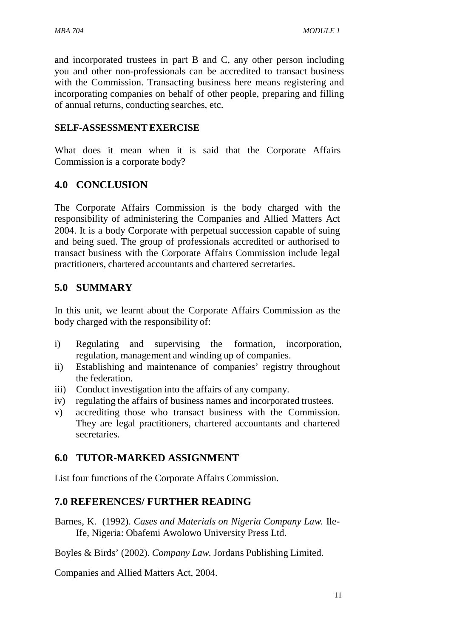and incorporated trustees in part B and C, any other person including you and other non-professionals can be accredited to transact business with the Commission. Transacting business here means registering and incorporating companies on behalf of other people, preparing and filling of annual returns, conducting searches, etc.

#### **SELF-ASSESSMENTEXERCISE**

What does it mean when it is said that the Corporate Affairs Commission is a corporate body?

## **4.0 CONCLUSION**

The Corporate Affairs Commission is the body charged with the responsibility of administering the Companies and Allied Matters Act 2004. It is a body Corporate with perpetual succession capable of suing and being sued. The group of professionals accredited or authorised to transact business with the Corporate Affairs Commission include legal practitioners, chartered accountants and chartered secretaries.

## **5.0 SUMMARY**

In this unit, we learnt about the Corporate Affairs Commission as the body charged with the responsibility of:

- i) Regulating and supervising the formation, incorporation, regulation, management and winding up of companies.
- ii) Establishing and maintenance of companies' registry throughout the federation.
- iii) Conduct investigation into the affairs of any company.
- iv) regulating the affairs of business names and incorporated trustees.
- v) accrediting those who transact business with the Commission. They are legal practitioners, chartered accountants and chartered secretaries.

## **6.0 TUTOR-MARKED ASSIGNMENT**

List four functions of the Corporate Affairs Commission.

## **7.0 REFERENCES/ FURTHER READING**

Barnes, K. (1992). *Cases and Materials on Nigeria Company Law.* Ile-Ife, Nigeria: Obafemi Awolowo University Press Ltd.

Boyles & Birds' (2002). *Company Law*. Jordans Publishing Limited.

Companies and Allied Matters Act, 2004.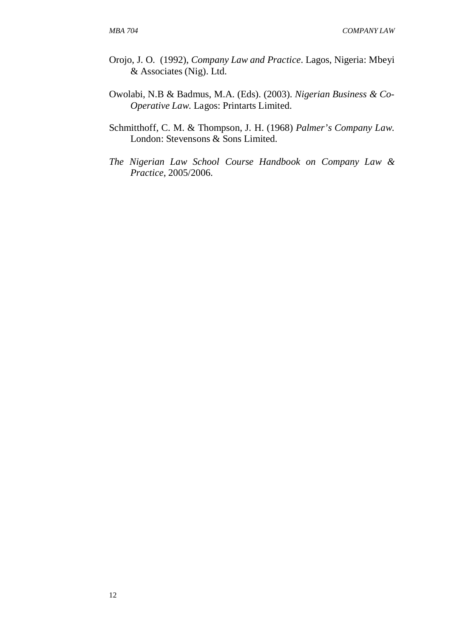- Orojo, J. O. (1992), *Company Law and Practice*. Lagos, Nigeria: Mbeyi & Associates (Nig). Ltd.
- Owolabi, N.B & Badmus, M.A. (Eds). (2003). *Nigerian Business & Co-Operative Law*. Lagos: Printarts Limited.
- Schmitthoff, C. M. & Thompson, J. H. (1968) *Palmer's Company Law*. London: Stevensons & Sons Limited.
- *The Nigerian Law School Course Handbook on Company Law & Practice*, 2005/2006.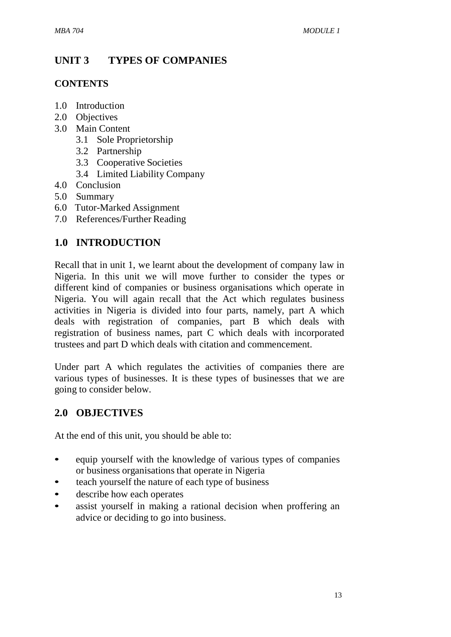# **UNIT 3 TYPES OF COMPANIES**

## **CONTENTS**

- 1.0 Introduction
- 2.0 Objectives
- 3.0 Main Content
	- 3.1 Sole Proprietorship
	- 3.2 Partnership
	- 3.3 Cooperative Societies
	- 3.4 Limited Liability Company
- 4.0 Conclusion
- 5.0 Summary
- 6.0 Tutor-Marked Assignment
- 7.0 References/Further Reading

# **1.0 INTRODUCTION**

Recall that in unit 1, we learnt about the development of company law in Nigeria. In this unit we will move further to consider the types or different kind of companies or business organisations which operate in Nigeria. You will again recall that the Act which regulates business activities in Nigeria is divided into four parts, namely, part A which deals with registration of companies, part B which deals with registration of business names, part C which deals with incorporated trustees and part D which deals with citation and commencement.

Under part A which regulates the activities of companies there are various types of businesses. It is these types of businesses that we are going to consider below.

# **2.0 OBJECTIVES**

At the end of this unit, you should be able to:

- equip yourself with the knowledge of various types of companies or business organisations that operate in Nigeria
- teach yourself the nature of each type of business
- describe how each operates
- assist yourself in making a rational decision when proffering an advice or deciding to go into business.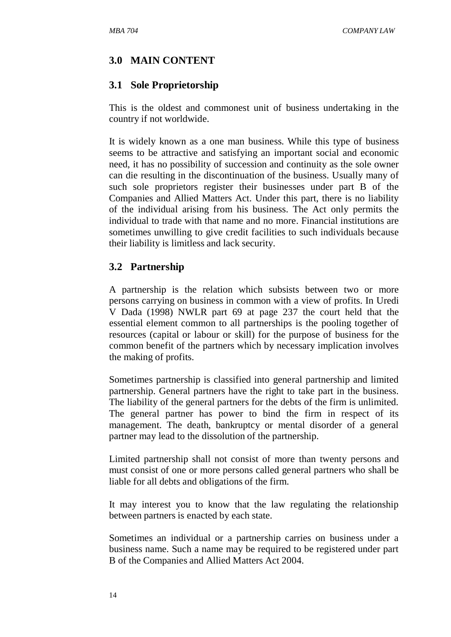## **3.0 MAIN CONTENT**

## **3.1 Sole Proprietorship**

This is the oldest and commonest unit of business undertaking in the country if not worldwide.

It is widely known as a one man business. While this type of business seems to be attractive and satisfying an important social and economic need, it has no possibility of succession and continuity as the sole owner can die resulting in the discontinuation of the business. Usually many of such sole proprietors register their businesses under part B of the Companies and Allied Matters Act. Under this part, there is no liability of the individual arising from his business. The Act only permits the individual to trade with that name and no more. Financial institutions are sometimes unwilling to give credit facilities to such individuals because their liability is limitless and lack security.

## **3.2 Partnership**

A partnership is the relation which subsists between two or more persons carrying on business in common with a view of profits. In Uredi V Dada (1998) NWLR part 69 at page 237 the court held that the essential element common to all partnerships is the pooling together of resources (capital or labour or skill) for the purpose of business for the common benefit of the partners which by necessary implication involves the making of profits.

Sometimes partnership is classified into general partnership and limited partnership. General partners have the right to take part in the business. The liability of the general partners for the debts of the firm is unlimited. The general partner has power to bind the firm in respect of its management. The death, bankruptcy or mental disorder of a general partner may lead to the dissolution of the partnership.

Limited partnership shall not consist of more than twenty persons and must consist of one or more persons called general partners who shall be liable for all debts and obligations of the firm.

It may interest you to know that the law regulating the relationship between partners is enacted by each state.

Sometimes an individual or a partnership carries on business under a business name. Such a name may be required to be registered under part B of the Companies and Allied Matters Act 2004.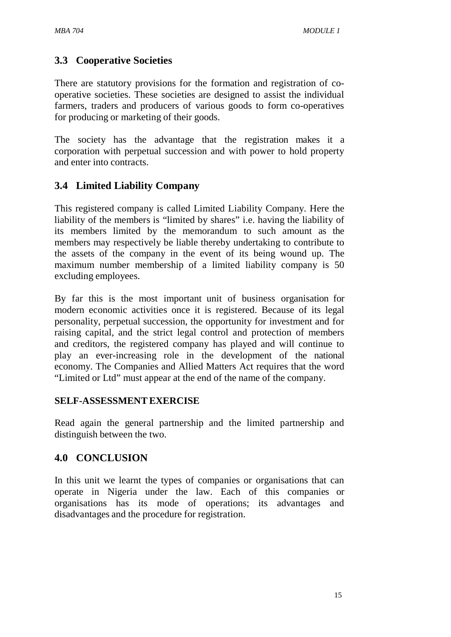# **3.3 Cooperative Societies**

There are statutory provisions for the formation and registration of cooperative societies. These societies are designed to assist the individual farmers, traders and producers of various goods to form co-operatives for producing or marketing of their goods.

The society has the advantage that the registration makes it a corporation with perpetual succession and with power to hold property and enter into contracts.

# **3.4 Limited Liability Company**

This registered company is called Limited Liability Company. Here the liability of the members is "limited by shares" i.e. having the liability of its members limited by the memorandum to such amount as the members may respectively be liable thereby undertaking to contribute to the assets of the company in the event of its being wound up. The maximum number membership of a limited liability company is 50 excluding employees.

By far this is the most important unit of business organisation for modern economic activities once it is registered. Because of its legal personality, perpetual succession, the opportunity for investment and for raising capital, and the strict legal control and protection of members and creditors, the registered company has played and will continue to play an ever-increasing role in the development of the national economy. The Companies and Allied Matters Act requires that the word "Limited or Ltd" must appear at the end of the name of the company.

#### **SELF-ASSESSMENTEXERCISE**

Read again the general partnership and the limited partnership and distinguish between the two.

# **4.0 CONCLUSION**

In this unit we learnt the types of companies or organisations that can operate in Nigeria under the law. Each of this companies or organisations has its mode of operations; its advantages and disadvantages and the procedure for registration.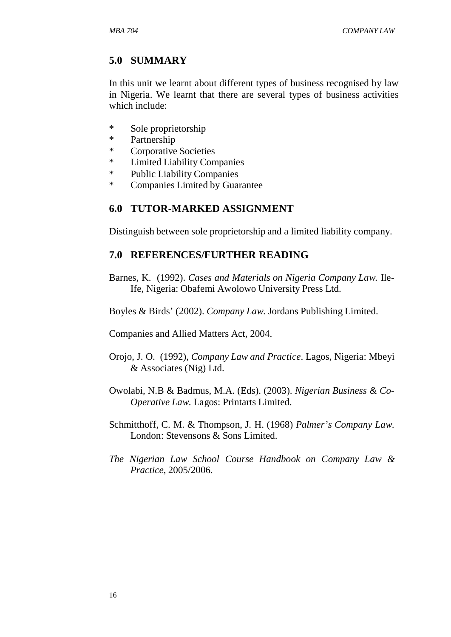## **5.0 SUMMARY**

In this unit we learnt about different types of business recognised by law in Nigeria. We learnt that there are several types of business activities which include:

- \* Sole proprietorship
- \* Partnership
- \* Corporative Societies
- \* Limited Liability Companies
- \* Public Liability Companies
- \* Companies Limited by Guarantee

## **6.0 TUTOR-MARKED ASSIGNMENT**

Distinguish between sole proprietorship and a limited liability company.

#### **7.0 REFERENCES/FURTHER READING**

Barnes, K. (1992). *Cases and Materials on Nigeria Company Law.* Ile-Ife, Nigeria: Obafemi Awolowo University Press Ltd.

Boyles & Birds' (2002). *Company Law*. Jordans Publishing Limited.

Companies and Allied Matters Act, 2004.

- Orojo, J. O. (1992), *Company Law and Practice*. Lagos, Nigeria: Mbeyi & Associates (Nig) Ltd.
- Owolabi, N.B & Badmus, M.A. (Eds). (2003). *Nigerian Business & Co-Operative Law*. Lagos: Printarts Limited.
- Schmitthoff, C. M. & Thompson, J. H. (1968) *Palmer's Company Law*. London: Stevensons & Sons Limited.
- *The Nigerian Law School Course Handbook on Company Law & Practice*, 2005/2006.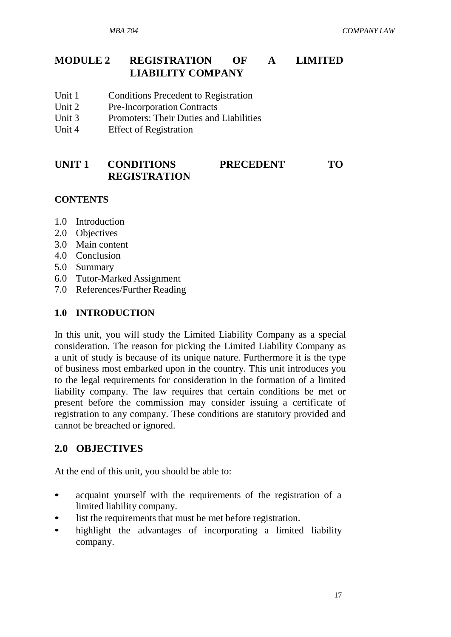## **MODULE 2 REGISTRATION OF A LIMITED LIABILITY COMPANY**

- Unit 1 Conditions Precedent to Registration
- Unit 2 Pre-Incorporation Contracts
- Unit 3 Promoters: Their Duties and Liabilities
- Unit 4 Effect of Registration

## **UNIT 1 CONDITIONS PRECEDENT TO REGISTRATION**

#### **CONTENTS**

- 1.0 Introduction
- 2.0 Objectives
- 3.0 Main content
- 4.0 Conclusion
- 5.0 Summary
- 6.0 Tutor-Marked Assignment
- 7.0 References/Further Reading

## **1.0 INTRODUCTION**

In this unit, you will study the Limited Liability Company as a special consideration. The reason for picking the Limited Liability Company as a unit of study is because of its unique nature. Furthermore it is the type of business most embarked upon in the country. This unit introduces you to the legal requirements for consideration in the formation of a limited liability company. The law requires that certain conditions be met or present before the commission may consider issuing a certificate of registration to any company. These conditions are statutory provided and cannot be breached or ignored.

# **2.0 OBJECTIVES**

At the end of this unit, you should be able to:

- acquaint yourself with the requirements of the registration of a limited liability company.
- list the requirements that must be met before registration.
- highlight the advantages of incorporating a limited liability company.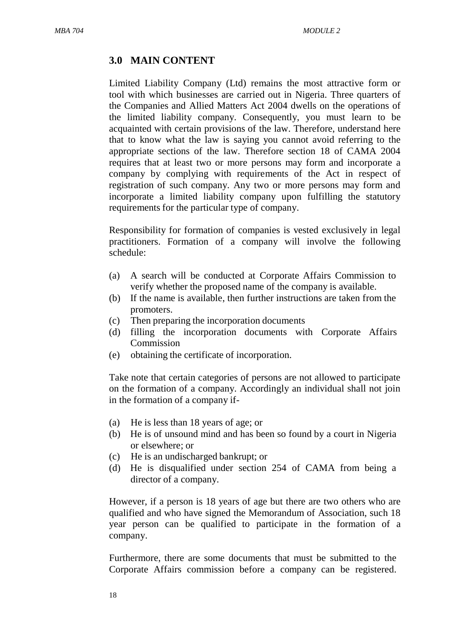## **3.0 MAIN CONTENT**

Limited Liability Company (Ltd) remains the most attractive form or tool with which businesses are carried out in Nigeria. Three quarters of the Companies and Allied Matters Act 2004 dwells on the operations of the limited liability company. Consequently, you must learn to be acquainted with certain provisions of the law. Therefore, understand here that to know what the law is saying you cannot avoid referring to the appropriate sections of the law. Therefore section 18 of CAMA 2004 requires that at least two or more persons may form and incorporate a company by complying with requirements of the Act in respect of registration of such company. Any two or more persons may form and incorporate a limited liability company upon fulfilling the statutory requirements for the particular type of company.

Responsibility for formation of companies is vested exclusively in legal practitioners. Formation of a company will involve the following schedule:

- (a) A search will be conducted at Corporate Affairs Commission to verify whether the proposed name of the company is available.
- (b) If the name is available, then further instructions are taken from the promoters.
- (c) Then preparing the incorporation documents
- (d) filling the incorporation documents with Corporate Affairs Commission
- (e) obtaining the certificate of incorporation.

Take note that certain categories of persons are not allowed to participate on the formation of a company. Accordingly an individual shall not join in the formation of a company if-

- (a) He is less than 18 years of age; or
- (b) He is of unsound mind and has been so found by a court in Nigeria or elsewhere; or
- (c) He is an undischarged bankrupt; or
- (d) He is disqualified under section 254 of CAMA from being a director of a company.

However, if a person is 18 years of age but there are two others who are qualified and who have signed the Memorandum of Association, such 18 year person can be qualified to participate in the formation of a company.

Furthermore, there are some documents that must be submitted to the Corporate Affairs commission before a company can be registered.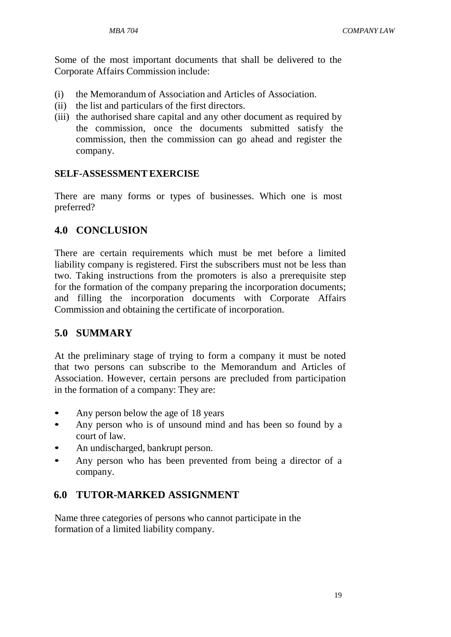Some of the most important documents that shall be delivered to the Corporate Affairs Commission include:

- (i) the Memorandum of Association and Articles of Association.
- (ii) the list and particulars of the first directors.
- (iii) the authorised share capital and any other document as required by the commission, once the documents submitted satisfy the commission, then the commission can go ahead and register the company.

#### **SELF-ASSESSMENTEXERCISE**

There are many forms or types of businesses. Which one is most preferred?

## **4.0 CONCLUSION**

There are certain requirements which must be met before a limited liability company is registered. First the subscribers must not be less than two. Taking instructions from the promoters is also a prerequisite step for the formation of the company preparing the incorporation documents; and filling the incorporation documents with Corporate Affairs Commission and obtaining the certificate of incorporation.

## **5.0 SUMMARY**

At the preliminary stage of trying to form a company it must be noted that two persons can subscribe to the Memorandum and Articles of Association. However, certain persons are precluded from participation in the formation of a company: They are:

- Any person below the age of 18 years
- Any person who is of unsound mind and has been so found by a court of law.
- An undischarged, bankrupt person.
- Any person who has been prevented from being a director of a company.

## **6.0 TUTOR-MARKED ASSIGNMENT**

Name three categories of persons who cannot participate in the formation of a limited liability company.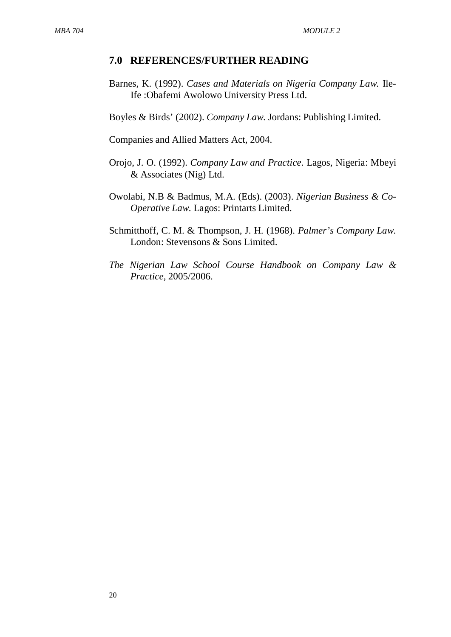#### **7.0 REFERENCES/FURTHER READING**

Barnes, K. (1992). *Cases and Materials on Nigeria Company Law.* Ile-Ife :Obafemi Awolowo University Press Ltd.

Boyles & Birds' (2002). *Company Law*. Jordans: Publishing Limited.

Companies and Allied Matters Act, 2004.

- Orojo, J. O. (1992). *Company Law and Practice*. Lagos, Nigeria: Mbeyi & Associates (Nig) Ltd.
- Owolabi, N.B & Badmus, M.A. (Eds). (2003). *Nigerian Business & Co-Operative Law*. Lagos: Printarts Limited.
- Schmitthoff, C. M. & Thompson, J. H. (1968). *Palmer's Company Law*. London: Stevensons & Sons Limited.
- *The Nigerian Law School Course Handbook on Company Law & Practice*, 2005/2006.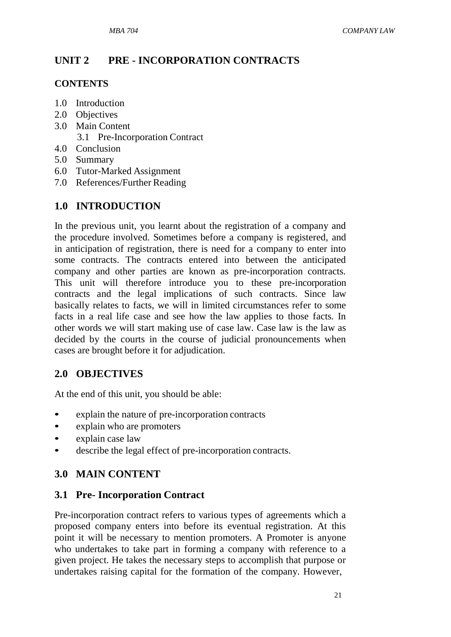## **UNIT 2 PRE - INCORPORATION CONTRACTS**

#### **CONTENTS**

- 1.0 Introduction
- 2.0 Objectives
- 3.0 Main Content
	- 3.1 Pre-Incorporation Contract
- 4.0 Conclusion
- 5.0 Summary
- 6.0 Tutor-Marked Assignment
- 7.0 References/Further Reading

## **1.0 INTRODUCTION**

In the previous unit, you learnt about the registration of a company and the procedure involved. Sometimes before a company is registered, and in anticipation of registration, there is need for a company to enter into some contracts. The contracts entered into between the anticipated company and other parties are known as pre-incorporation contracts. This unit will therefore introduce you to these pre-incorporation contracts and the legal implications of such contracts. Since law basically relates to facts, we will in limited circumstances refer to some facts in a real life case and see how the law applies to those facts. In other words we will start making use of case law. Case law is the law as decided by the courts in the course of judicial pronouncements when cases are brought before it for adjudication.

## **2.0 OBJECTIVES**

At the end of this unit, you should be able:

- explain the nature of pre-incorporation contracts
- explain who are promoters
- explain case law
- describe the legal effect of pre-incorporation contracts.

## **3.0 MAIN CONTENT**

#### **3.1 Pre- Incorporation Contract**

Pre-incorporation contract refers to various types of agreements which a proposed company enters into before its eventual registration. At this point it will be necessary to mention promoters. A Promoter is anyone who undertakes to take part in forming a company with reference to a given project. He takes the necessary steps to accomplish that purpose or undertakes raising capital for the formation of the company. However,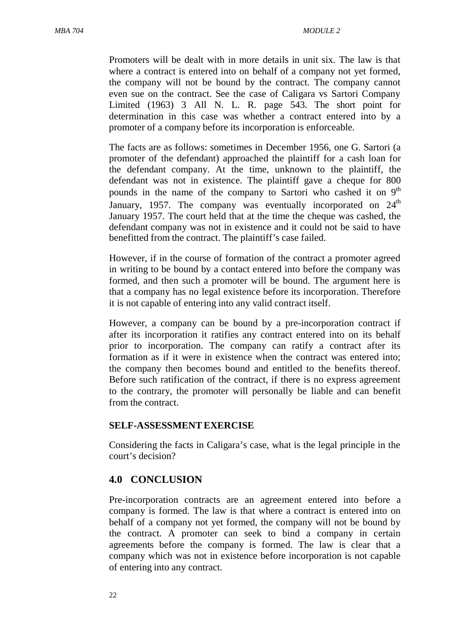Promoters will be dealt with in more details in unit six. The law is that where a contract is entered into on behalf of a company not yet formed, the company will not be bound by the contract. The company cannot even sue on the contract. See the case of Caligara vs Sartori Company Limited (1963) 3 All N. L. R. page 543. The short point for determination in this case was whether a contract entered into by a promoter of a company before its incorporation is enforceable.

The facts are as follows: sometimes in December 1956, one G. Sartori (a promoter of the defendant) approached the plaintiff for a cash loan for the defendant company. At the time, unknown to the plaintiff, the defendant was not in existence. The plaintiff gave a cheque for 800 pounds in the name of the company to Sartori who cashed it on 9<sup>th</sup> January, 1957. The company was eventually incorporated on  $24<sup>th</sup>$ January 1957. The court held that at the time the cheque was cashed, the defendant company was not in existence and it could not be said to have benefitted from the contract. The plaintiff's case failed.

However, if in the course of formation of the contract a promoter agreed in writing to be bound by a contact entered into before the company was formed, and then such a promoter will be bound. The argument here is that a company has no legal existence before its incorporation. Therefore it is not capable of entering into any valid contract itself.

However, a company can be bound by a pre-incorporation contract if after its incorporation it ratifies any contract entered into on its behalf prior to incorporation. The company can ratify a contract after its formation as if it were in existence when the contract was entered into; the company then becomes bound and entitled to the benefits thereof. Before such ratification of the contract, if there is no express agreement to the contrary, the promoter will personally be liable and can benefit from the contract.

#### **SELF-ASSESSMENTEXERCISE**

Considering the facts in Caligara's case, what is the legal principle in the court's decision?

#### **4.0 CONCLUSION**

Pre-incorporation contracts are an agreement entered into before a company is formed. The law is that where a contract is entered into on behalf of a company not yet formed, the company will not be bound by the contract. A promoter can seek to bind a company in certain agreements before the company is formed. The law is clear that a company which was not in existence before incorporation is not capable of entering into any contract.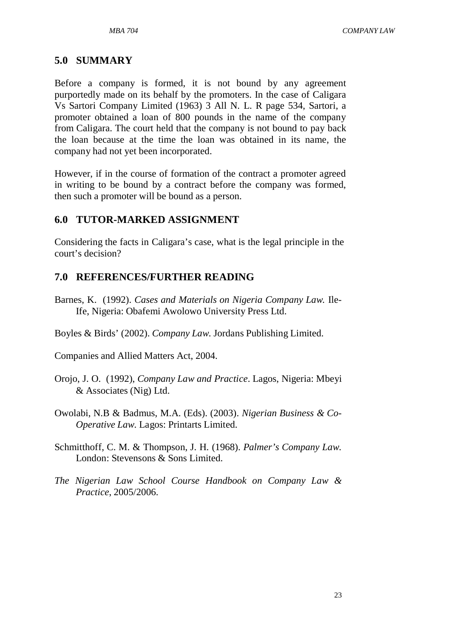#### **5.0 SUMMARY**

Before a company is formed, it is not bound by any agreement purportedly made on its behalf by the promoters. In the case of Caligara Vs Sartori Company Limited (1963) 3 All N. L. R page 534, Sartori, a promoter obtained a loan of 800 pounds in the name of the company from Caligara. The court held that the company is not bound to pay back the loan because at the time the loan was obtained in its name, the company had not yet been incorporated.

However, if in the course of formation of the contract a promoter agreed in writing to be bound by a contract before the company was formed, then such a promoter will be bound as a person.

#### **6.0 TUTOR-MARKED ASSIGNMENT**

Considering the facts in Caligara's case, what is the legal principle in the court's decision?

#### **7.0 REFERENCES/FURTHER READING**

- Barnes, K. (1992). *Cases and Materials on Nigeria Company Law.* Ile-Ife, Nigeria: Obafemi Awolowo University Press Ltd.
- Boyles & Birds' (2002). *Company Law*. Jordans Publishing Limited.

Companies and Allied Matters Act, 2004.

- Orojo, J. O. (1992), *Company Law and Practice*. Lagos, Nigeria: Mbeyi & Associates (Nig) Ltd.
- Owolabi, N.B & Badmus, M.A. (Eds). (2003). *Nigerian Business & Co-Operative Law*. Lagos: Printarts Limited.
- Schmitthoff, C. M. & Thompson, J. H. (1968). *Palmer's Company Law*. London: Stevensons & Sons Limited.
- *The Nigerian Law School Course Handbook on Company Law & Practice*, 2005/2006.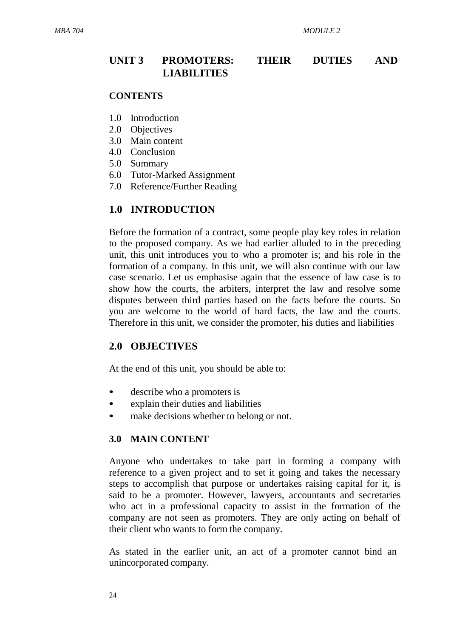## **UNIT 3 PROMOTERS: THEIR DUTIES AND LIABILITIES**

#### **CONTENTS**

- 1.0 Introduction
- 2.0 Objectives
- 3.0 Main content
- 4.0 Conclusion
- 5.0 Summary
- 6.0 Tutor-Marked Assignment
- 7.0 Reference/Further Reading

#### **1.0 INTRODUCTION**

Before the formation of a contract, some people play key roles in relation to the proposed company. As we had earlier alluded to in the preceding unit, this unit introduces you to who a promoter is; and his role in the formation of a company. In this unit, we will also continue with our law case scenario. Let us emphasise again that the essence of law case is to show how the courts, the arbiters, interpret the law and resolve some disputes between third parties based on the facts before the courts. So you are welcome to the world of hard facts, the law and the courts. Therefore in this unit, we consider the promoter, his duties and liabilities

#### **2.0 OBJECTIVES**

At the end of this unit, you should be able to:

- describe who a promoters is
- explain their duties and liabilities
- make decisions whether to belong or not.

#### **3.0 MAIN CONTENT**

Anyone who undertakes to take part in forming a company with reference to a given project and to set it going and takes the necessary steps to accomplish that purpose or undertakes raising capital for it, is said to be a promoter. However, lawyers, accountants and secretaries who act in a professional capacity to assist in the formation of the company are not seen as promoters. They are only acting on behalf of their client who wants to form the company.

As stated in the earlier unit, an act of a promoter cannot bind an unincorporated company.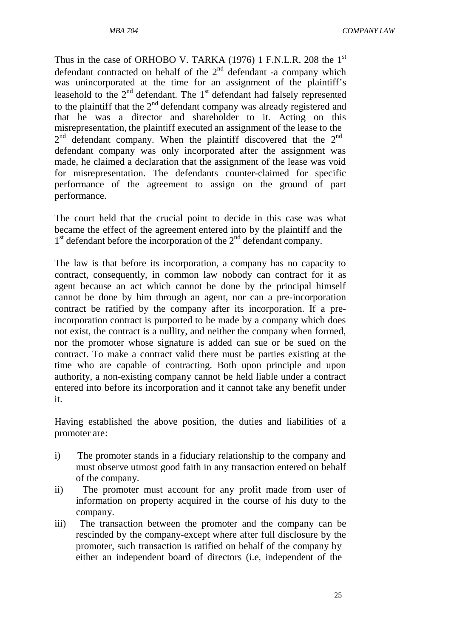*MBA 704 COMPANY LAW*

Thus in the case of ORHOBO V. TARKA (1976) 1 F.N.L.R. 208 the 1<sup>st</sup> defendant contracted on behalf of the 2<sup>nd</sup> defendant -a company which was unincorporated at the time for an assignment of the plaintiff's leasehold to the  $2<sup>nd</sup>$  defendant. The  $1<sup>st</sup>$  defendant had falsely represented to the plaintiff that the  $2<sup>nd</sup>$  defendant company was already registered and that he was a director and shareholder to it. Acting on this misrepresentation, the plaintiff executed an assignment of the lease to the  $2<sup>nd</sup>$  defendant company. When the plaintiff discovered that the  $2<sup>nd</sup>$ defendant company was only incorporated after the assignment was made, he claimed a declaration that the assignment of the lease was void for misrepresentation. The defendants counter-claimed for specific performance of the agreement to assign on the ground of part performance.

The court held that the crucial point to decide in this case was what became the effect of the agreement entered into by the plaintiff and the 1<sup>st</sup> defendant before the incorporation of the 2<sup>nd</sup> defendant company.

The law is that before its incorporation, a company has no capacity to contract, consequently, in common law nobody can contract for it as agent because an act which cannot be done by the principal himself cannot be done by him through an agent, nor can a pre-incorporation contract be ratified by the company after its incorporation. If a preincorporation contract is purported to be made by a company which does not exist, the contract is a nullity, and neither the company when formed, nor the promoter whose signature is added can sue or be sued on the contract. To make a contract valid there must be parties existing at the time who are capable of contracting. Both upon principle and upon authority, a non-existing company cannot be held liable under a contract entered into before its incorporation and it cannot take any benefit under it.

Having established the above position, the duties and liabilities of a promoter are:

- i) The promoter stands in a fiduciary relationship to the company and must observe utmost good faith in any transaction entered on behalf of the company.
- ii) The promoter must account for any profit made from user of information on property acquired in the course of his duty to the company.
- iii) The transaction between the promoter and the company can be rescinded by the company-except where after full disclosure by the promoter, such transaction is ratified on behalf of the company by either an independent board of directors (i.e, independent of the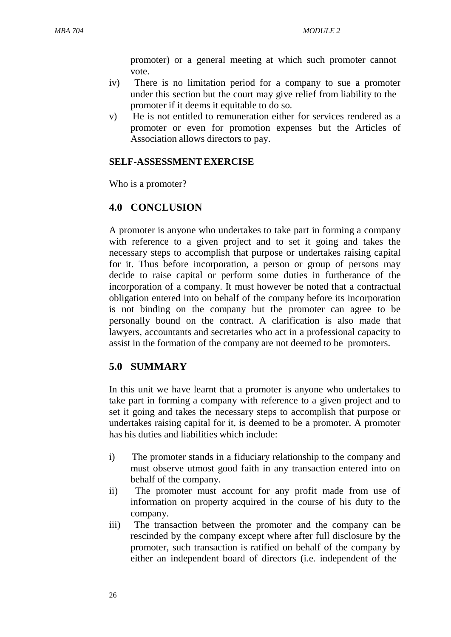promoter) or a general meeting at which such promoter cannot vote.

- iv) There is no limitation period for a company to sue a promoter under this section but the court may give relief from liability to the promoter if it deems it equitable to do so.
- v) He is not entitled to remuneration either for services rendered as a promoter or even for promotion expenses but the Articles of Association allows directors to pay.

#### **SELF-ASSESSMENTEXERCISE**

Who is a promoter?

## **4.0 CONCLUSION**

A promoter is anyone who undertakes to take part in forming a company with reference to a given project and to set it going and takes the necessary steps to accomplish that purpose or undertakes raising capital for it. Thus before incorporation, a person or group of persons may decide to raise capital or perform some duties in furtherance of the incorporation of a company. It must however be noted that a contractual obligation entered into on behalf of the company before its incorporation is not binding on the company but the promoter can agree to be personally bound on the contract. A clarification is also made that lawyers, accountants and secretaries who act in a professional capacity to assist in the formation of the company are not deemed to be promoters.

## **5.0 SUMMARY**

In this unit we have learnt that a promoter is anyone who undertakes to take part in forming a company with reference to a given project and to set it going and takes the necessary steps to accomplish that purpose or undertakes raising capital for it, is deemed to be a promoter. A promoter has his duties and liabilities which include:

- i) The promoter stands in a fiduciary relationship to the company and must observe utmost good faith in any transaction entered into on behalf of the company.
- ii) The promoter must account for any profit made from use of information on property acquired in the course of his duty to the company.
- iii) The transaction between the promoter and the company can be rescinded by the company except where after full disclosure by the promoter, such transaction is ratified on behalf of the company by either an independent board of directors (i.e. independent of the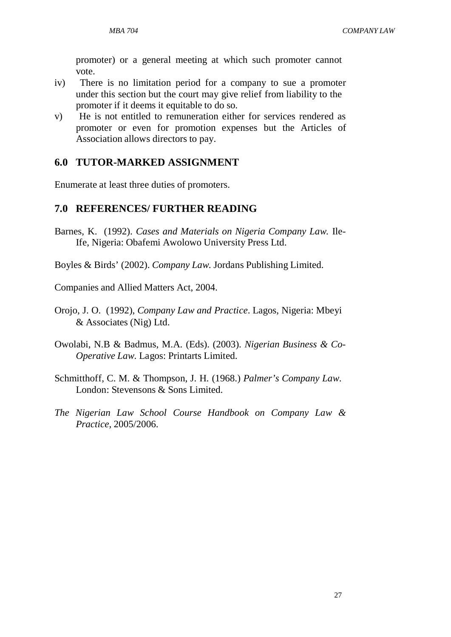promoter) or a general meeting at which such promoter cannot vote.

- iv) There is no limitation period for a company to sue a promoter under this section but the court may give relief from liability to the promoter if it deems it equitable to do so.
- v) He is not entitled to remuneration either for services rendered as promoter or even for promotion expenses but the Articles of Association allows directors to pay.

## **6.0 TUTOR-MARKED ASSIGNMENT**

Enumerate at least three duties of promoters.

## **7.0 REFERENCES/ FURTHER READING**

Barnes, K. (1992). *Cases and Materials on Nigeria Company Law.* Ile-Ife, Nigeria: Obafemi Awolowo University Press Ltd.

Boyles & Birds' (2002). *Company Law*. Jordans Publishing Limited.

Companies and Allied Matters Act, 2004.

- Orojo, J. O. (1992), *Company Law and Practice*. Lagos, Nigeria: Mbeyi & Associates (Nig) Ltd.
- Owolabi, N.B & Badmus, M.A. (Eds). (2003). *Nigerian Business & Co-Operative Law*. Lagos: Printarts Limited.
- Schmitthoff, C. M. & Thompson, J. H. (1968.) *Palmer's Company Law*. London: Stevensons & Sons Limited.
- *The Nigerian Law School Course Handbook on Company Law & Practice*, 2005/2006.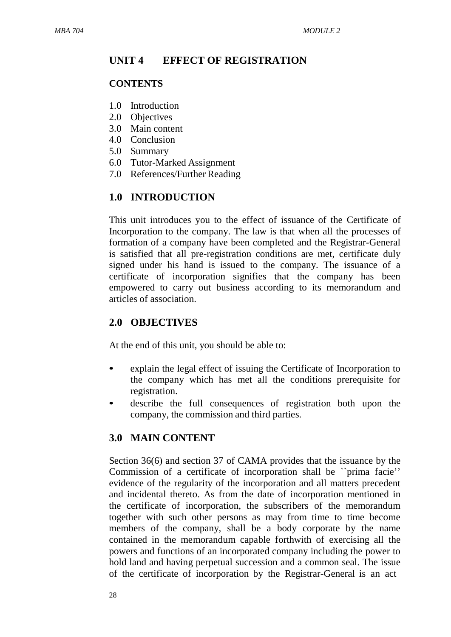# **UNIT 4 EFFECT OF REGISTRATION**

## **CONTENTS**

- 1.0 Introduction
- 2.0 Objectives
- 3.0 Main content
- 4.0 Conclusion
- 5.0 Summary
- 6.0 Tutor-Marked Assignment
- 7.0 References/Further Reading

# **1.0 INTRODUCTION**

This unit introduces you to the effect of issuance of the Certificate of Incorporation to the company. The law is that when all the processes of formation of a company have been completed and the Registrar-General is satisfied that all pre-registration conditions are met, certificate duly signed under his hand is issued to the company. The issuance of a certificate of incorporation signifies that the company has been empowered to carry out business according to its memorandum and articles of association.

# **2.0 OBJECTIVES**

At the end of this unit, you should be able to:

- explain the legal effect of issuing the Certificate of Incorporation to the company which has met all the conditions prerequisite for registration.
- describe the full consequences of registration both upon the company, the commission and third parties.

# **3.0 MAIN CONTENT**

Section 36(6) and section 37 of CAMA provides that the issuance by the Commission of a certificate of incorporation shall be ``prima facie'' evidence of the regularity of the incorporation and all matters precedent and incidental thereto. As from the date of incorporation mentioned in the certificate of incorporation, the subscribers of the memorandum together with such other persons as may from time to time become members of the company, shall be a body corporate by the name contained in the memorandum capable forthwith of exercising all the powers and functions of an incorporated company including the power to hold land and having perpetual succession and a common seal. The issue of the certificate of incorporation by the Registrar-General is an act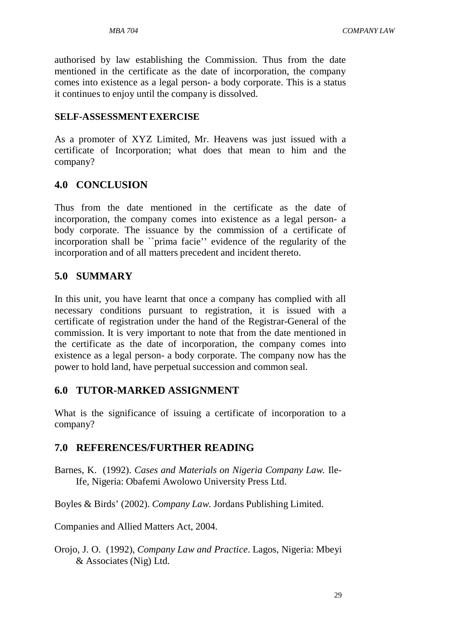authorised by law establishing the Commission. Thus from the date mentioned in the certificate as the date of incorporation, the company comes into existence as a legal person- a body corporate. This is a status it continues to enjoy until the company is dissolved.

### **SELF-ASSESSMENTEXERCISE**

As a promoter of XYZ Limited, Mr. Heavens was just issued with a certificate of Incorporation; what does that mean to him and the company?

# **4.0 CONCLUSION**

Thus from the date mentioned in the certificate as the date of incorporation, the company comes into existence as a legal person- a body corporate. The issuance by the commission of a certificate of incorporation shall be ``prima facie'' evidence of the regularity of the incorporation and of all matters precedent and incident thereto.

## **5.0 SUMMARY**

In this unit, you have learnt that once a company has complied with all necessary conditions pursuant to registration, it is issued with a certificate of registration under the hand of the Registrar-General of the commission. It is very important to note that from the date mentioned in the certificate as the date of incorporation, the company comes into existence as a legal person- a body corporate. The company now has the power to hold land, have perpetual succession and common seal.

# **6.0 TUTOR-MARKED ASSIGNMENT**

What is the significance of issuing a certificate of incorporation to a company?

# **7.0 REFERENCES/FURTHER READING**

Barnes, K. (1992). *Cases and Materials on Nigeria Company Law.* Ile-Ife, Nigeria: Obafemi Awolowo University Press Ltd.

Boyles & Birds' (2002). *Company Law*. Jordans Publishing Limited.

Companies and Allied Matters Act, 2004.

Orojo, J. O. (1992), *Company Law and Practice*. Lagos, Nigeria: Mbeyi & Associates (Nig) Ltd.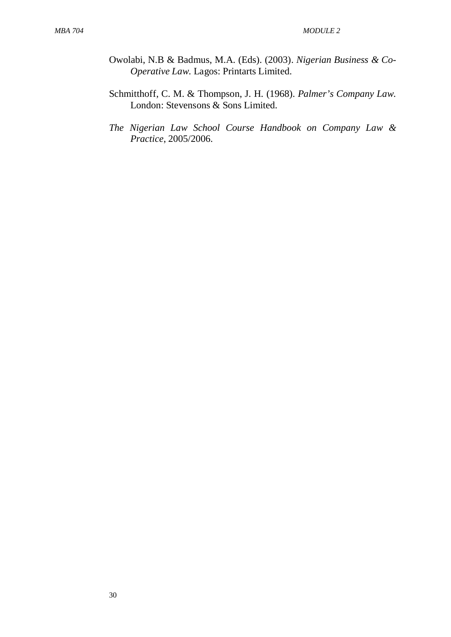- Owolabi, N.B & Badmus, M.A. (Eds). (2003). *Nigerian Business & Co-Operative Law*. Lagos: Printarts Limited.
- Schmitthoff, C. M. & Thompson, J. H. (1968). *Palmer's Company Law*. London: Stevensons & Sons Limited.
- *The Nigerian Law School Course Handbook on Company Law & Practice*, 2005/2006.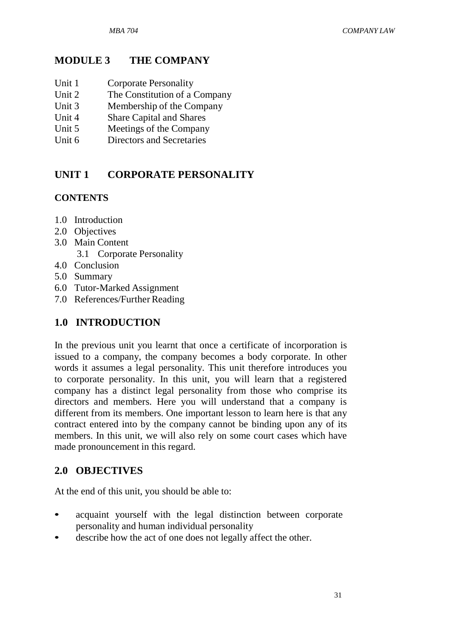## **MODULE 3 THE COMPANY**

- Unit 1 Corporate Personality
- Unit 2 The Constitution of a Company<br>Unit 3 Membership of the Company
- Membership of the Company
- Unit 4 Share Capital and Shares
- Unit 5 Meetings of the Company
- Unit 6 Directors and Secretaries

# **UNIT 1 CORPORATE PERSONALITY**

### **CONTENTS**

- 1.0 Introduction
- 2.0 Objectives
- 3.0 Main Content
	- 3.1 Corporate Personality
- 4.0 Conclusion
- 5.0 Summary
- 6.0 Tutor-Marked Assignment
- 7.0 References/Further Reading

## **1.0 INTRODUCTION**

In the previous unit you learnt that once a certificate of incorporation is issued to a company, the company becomes a body corporate. In other words it assumes a legal personality. This unit therefore introduces you to corporate personality. In this unit, you will learn that a registered company has a distinct legal personality from those who comprise its directors and members. Here you will understand that a company is different from its members. One important lesson to learn here is that any contract entered into by the company cannot be binding upon any of its members. In this unit, we will also rely on some court cases which have made pronouncement in this regard.

# **2.0 OBJECTIVES**

At the end of this unit, you should be able to:

- acquaint yourself with the legal distinction between corporate personality and human individual personality
- describe how the act of one does not legally affect the other.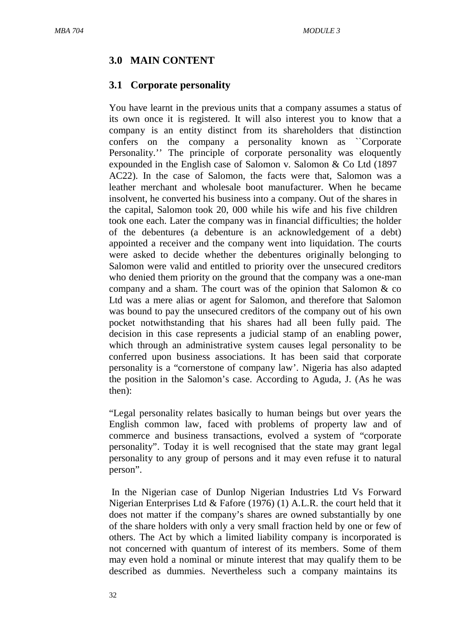# **3.0 MAIN CONTENT**

## **3.1 Corporate personality**

You have learnt in the previous units that a company assumes a status of its own once it is registered. It will also interest you to know that a company is an entity distinct from its shareholders that distinction confers on the company a personality known as ``Corporate Personality.'' The principle of corporate personality was eloquently expounded in the English case of Salomon v. Salomon & Co Ltd (1897 AC22). In the case of Salomon, the facts were that, Salomon was a leather merchant and wholesale boot manufacturer. When he became insolvent, he converted his business into a company. Out of the shares in the capital, Salomon took 20, 000 while his wife and his five children took one each. Later the company was in financial difficulties; the holder of the debentures (a debenture is an acknowledgement of a debt) appointed a receiver and the company went into liquidation. The courts were asked to decide whether the debentures originally belonging to Salomon were valid and entitled to priority over the unsecured creditors who denied them priority on the ground that the company was a one-man company and a sham. The court was of the opinion that Salomon & co Ltd was a mere alias or agent for Salomon, and therefore that Salomon was bound to pay the unsecured creditors of the company out of his own pocket notwithstanding that his shares had all been fully paid. The decision in this case represents a judicial stamp of an enabling power, which through an administrative system causes legal personality to be conferred upon business associations. It has been said that corporate personality is a "cornerstone of company law'. Nigeria has also adapted the position in the Salomon's case. According to Aguda, J. (As he was then):

"Legal personality relates basically to human beings but over years the English common law, faced with problems of property law and of commerce and business transactions, evolved a system of "corporate personality". Today it is well recognised that the state may grant legal personality to any group of persons and it may even refuse it to natural person".

In the Nigerian case of Dunlop Nigerian Industries Ltd Vs Forward Nigerian Enterprises Ltd & Fafore (1976) (1) A.L.R. the court held that it does not matter if the company's shares are owned substantially by one of the share holders with only a very small fraction held by one or few of others. The Act by which a limited liability company is incorporated is not concerned with quantum of interest of its members. Some of them may even hold a nominal or minute interest that may qualify them to be described as dummies. Nevertheless such a company maintains its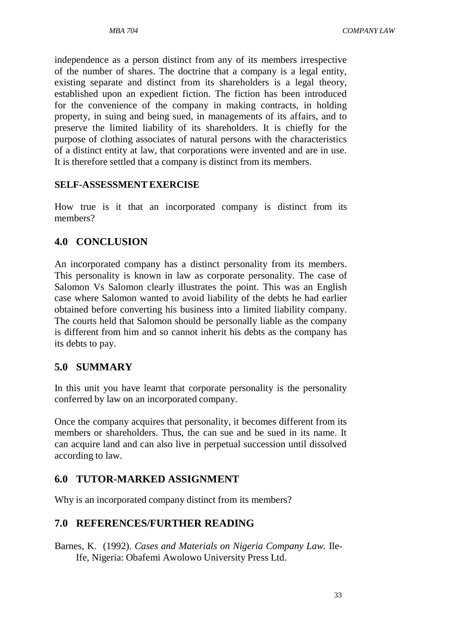independence as a person distinct from any of its members irrespective of the number of shares. The doctrine that a company is a legal entity, existing separate and distinct from its shareholders is a legal theory, established upon an expedient fiction. The fiction has been introduced for the convenience of the company in making contracts, in holding property, in suing and being sued, in managements of its affairs, and to preserve the limited liability of its shareholders. It is chiefly for the purpose of clothing associates of natural persons with the characteristics of a distinct entity at law, that corporations were invented and are in use. It is therefore settled that a company is distinct from its members.

#### **SELF-ASSESSMENTEXERCISE**

How true is it that an incorporated company is distinct from its members?

### **4.0 CONCLUSION**

An incorporated company has a distinct personality from its members. This personality is known in law as corporate personality. The case of Salomon Vs Salomon clearly illustrates the point. This was an English case where Salomon wanted to avoid liability of the debts he had earlier obtained before converting his business into a limited liability company. The courts held that Salomon should be personally liable as the company is different from him and so cannot inherit his debts as the company has its debts to pay.

### **5.0 SUMMARY**

In this unit you have learnt that corporate personality is the personality conferred by law on an incorporated company.

Once the company acquires that personality, it becomes different from its members or shareholders. Thus, the can sue and be sued in its name. It can acquire land and can also live in perpetual succession until dissolved according to law.

### **6.0 TUTOR-MARKED ASSIGNMENT**

Why is an incorporated company distinct from its members?

### **7.0 REFERENCES/FURTHER READING**

Barnes, K. (1992). *Cases and Materials on Nigeria Company Law.* Ile-Ife, Nigeria: Obafemi Awolowo University Press Ltd.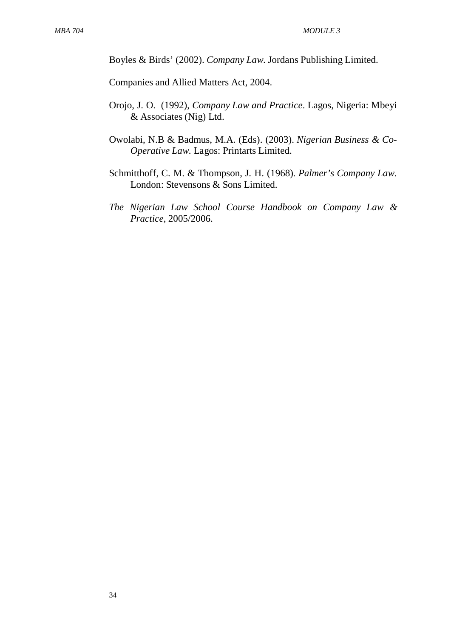Boyles & Birds' (2002). *Company Law*. Jordans Publishing Limited.

Companies and Allied Matters Act, 2004.

- Orojo, J. O. (1992), *Company Law and Practice*. Lagos, Nigeria: Mbeyi & Associates (Nig) Ltd.
- Owolabi, N.B & Badmus, M.A. (Eds). (2003). *Nigerian Business & Co-Operative Law*. Lagos: Printarts Limited.
- Schmitthoff, C. M. & Thompson, J. H. (1968). *Palmer's Company Law*. London: Stevensons & Sons Limited.
- *The Nigerian Law School Course Handbook on Company Law & Practice*, 2005/2006.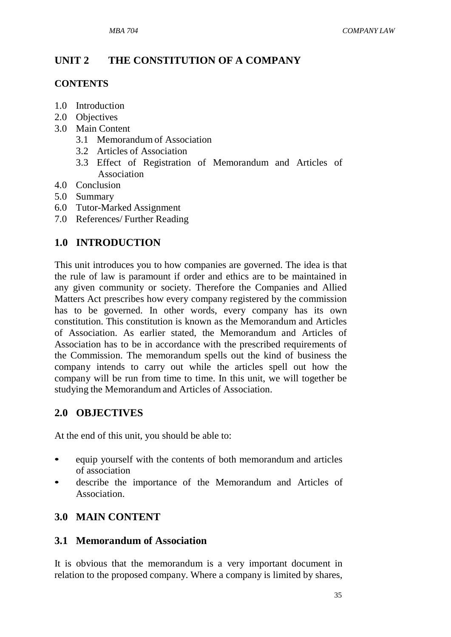# **UNIT 2 THE CONSTITUTION OF A COMPANY**

## **CONTENTS**

- 1.0 Introduction
- 2.0 Objectives
- 3.0 Main Content
	- 3.1 Memorandum of Association
	- 3.2 Articles of Association
	- 3.3 Effect of Registration of Memorandum and Articles of Association
- 4.0 Conclusion
- 5.0 Summary
- 6.0 Tutor-Marked Assignment
- 7.0 References/ Further Reading

# **1.0 INTRODUCTION**

This unit introduces you to how companies are governed. The idea is that the rule of law is paramount if order and ethics are to be maintained in any given community or society. Therefore the Companies and Allied Matters Act prescribes how every company registered by the commission has to be governed. In other words, every company has its own constitution. This constitution is known as the Memorandum and Articles of Association. As earlier stated, the Memorandum and Articles of Association has to be in accordance with the prescribed requirements of the Commission. The memorandum spells out the kind of business the company intends to carry out while the articles spell out how the company will be run from time to time. In this unit, we will together be studying the Memorandum and Articles of Association.

# **2.0 OBJECTIVES**

At the end of this unit, you should be able to:

- equip yourself with the contents of both memorandum and articles of association
- describe the importance of the Memorandum and Articles of Association.

# **3.0 MAIN CONTENT**

## **3.1 Memorandum of Association**

It is obvious that the memorandum is a very important document in relation to the proposed company. Where a company is limited by shares,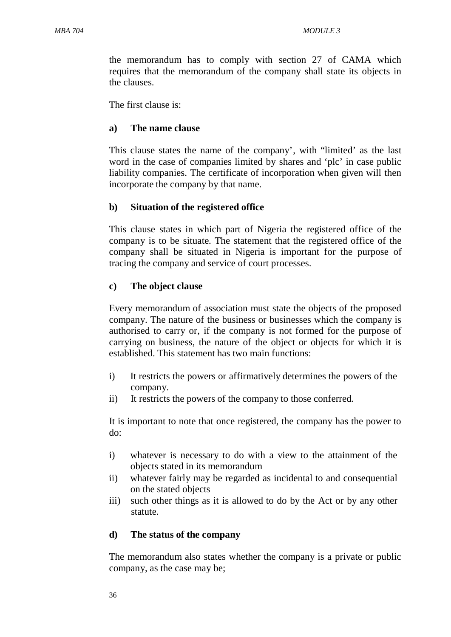the memorandum has to comply with section 27 of CAMA which requires that the memorandum of the company shall state its objects in the clauses.

The first clause is:

#### **a) The name clause**

This clause states the name of the company', with "limited' as the last word in the case of companies limited by shares and 'plc' in case public liability companies. The certificate of incorporation when given will then incorporate the company by that name.

### **b) Situation of the registered office**

This clause states in which part of Nigeria the registered office of the company is to be situate. The statement that the registered office of the company shall be situated in Nigeria is important for the purpose of tracing the company and service of court processes.

### **c) The object clause**

Every memorandum of association must state the objects of the proposed company. The nature of the business or businesses which the company is authorised to carry or, if the company is not formed for the purpose of carrying on business, the nature of the object or objects for which it is established. This statement has two main functions:

- i) It restricts the powers or affirmatively determines the powers of the company.
- ii) It restricts the powers of the company to those conferred.

It is important to note that once registered, the company has the power to do:

- i) whatever is necessary to do with a view to the attainment of the objects stated in its memorandum
- ii) whatever fairly may be regarded as incidental to and consequential on the stated objects
- iii) such other things as it is allowed to do by the Act or by any other statute.

### **d) The status of the company**

The memorandum also states whether the company is a private or public company, as the case may be;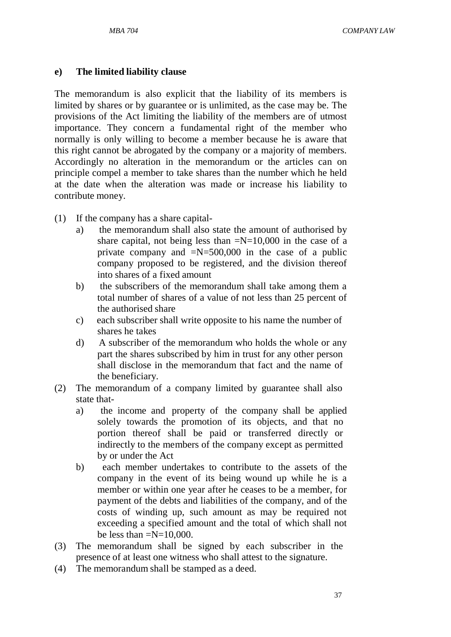#### **e) The limited liability clause**

The memorandum is also explicit that the liability of its members is limited by shares or by guarantee or is unlimited, as the case may be. The provisions of the Act limiting the liability of the members are of utmost importance. They concern a fundamental right of the member who normally is only willing to become a member because he is aware that this right cannot be abrogated by the company or a majority of members. Accordingly no alteration in the memorandum or the articles can on principle compel a member to take shares than the number which he held at the date when the alteration was made or increase his liability to contribute money.

- (1) If the company has a share capital
	- a) the memorandum shall also state the amount of authorised by share capital, not being less than  $=N=10,000$  in the case of a private company and  $=N=500,000$  in the case of a public company proposed to be registered, and the division thereof into shares of a fixed amount
	- b) the subscribers of the memorandum shall take among them a total number of shares of a value of not less than 25 percent of the authorised share
	- c) each subscriber shall write opposite to his name the number of shares he takes
	- d) A subscriber of the memorandum who holds the whole or any part the shares subscribed by him in trust for any other person shall disclose in the memorandum that fact and the name of the beneficiary.
- (2) The memorandum of a company limited by guarantee shall also state that
	- a) the income and property of the company shall be applied solely towards the promotion of its objects, and that no portion thereof shall be paid or transferred directly or indirectly to the members of the company except as permitted by or under the Act
	- b) each member undertakes to contribute to the assets of the company in the event of its being wound up while he is a member or within one year after he ceases to be a member, for payment of the debts and liabilities of the company, and of the costs of winding up, such amount as may be required not exceeding a specified amount and the total of which shall not be less than  $=N=10,000$ .
- (3) The memorandum shall be signed by each subscriber in the presence of at least one witness who shall attest to the signature.
- (4) The memorandum shall be stamped as a deed.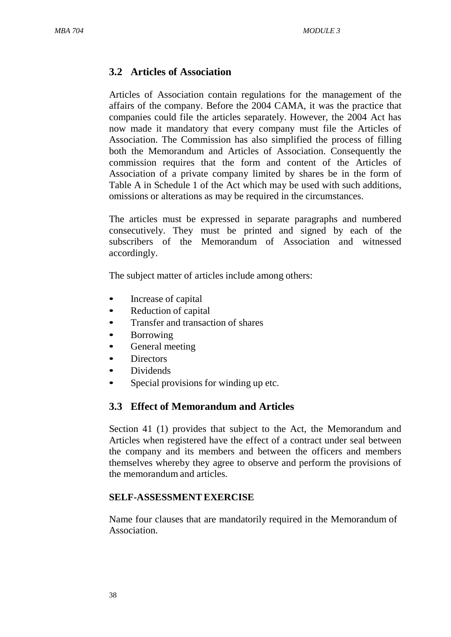## **3.2 Articles of Association**

Articles of Association contain regulations for the management of the affairs of the company. Before the 2004 CAMA, it was the practice that companies could file the articles separately. However, the 2004 Act has now made it mandatory that every company must file the Articles of Association. The Commission has also simplified the process of filling both the Memorandum and Articles of Association. Consequently the commission requires that the form and content of the Articles of Association of a private company limited by shares be in the form of Table A in Schedule 1 of the Act which may be used with such additions, omissions or alterations as may be required in the circumstances.

The articles must be expressed in separate paragraphs and numbered consecutively. They must be printed and signed by each of the subscribers of the Memorandum of Association and witnessed accordingly.

The subject matter of articles include among others:

- Increase of capital
- Reduction of capital
- Transfer and transaction of shares
- **Borrowing**
- General meeting
- Directors
- Dividends
- Special provisions for winding up etc.

## **3.3 Effect of Memorandum and Articles**

Section 41 (1) provides that subject to the Act, the Memorandum and Articles when registered have the effect of a contract under seal between the company and its members and between the officers and members themselves whereby they agree to observe and perform the provisions of the memorandum and articles.

### **SELF-ASSESSMENTEXERCISE**

Name four clauses that are mandatorily required in the Memorandum of Association.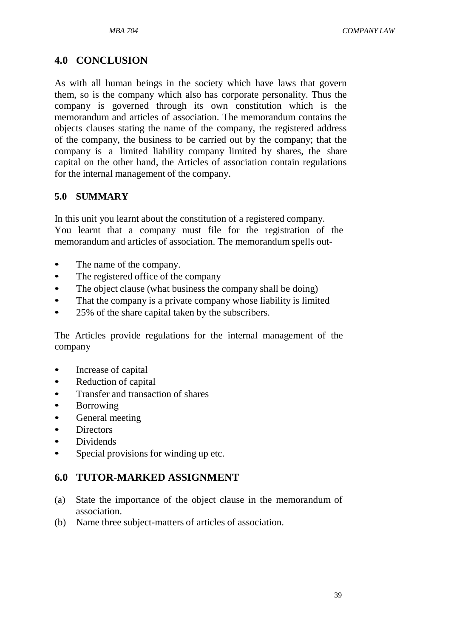## **4.0 CONCLUSION**

As with all human beings in the society which have laws that govern them, so is the company which also has corporate personality. Thus the company is governed through its own constitution which is the memorandum and articles of association. The memorandum contains the objects clauses stating the name of the company, the registered address of the company, the business to be carried out by the company; that the company is a limited liability company limited by shares, the share capital on the other hand, the Articles of association contain regulations for the internal management of the company.

### **5.0 SUMMARY**

In this unit you learnt about the constitution of a registered company. You learnt that a company must file for the registration of the memorandum and articles of association. The memorandum spells out-

- The name of the company.
- The registered office of the company
- The object clause (what business the company shall be doing)
- That the company is a private company whose liability is limited
- 25% of the share capital taken by the subscribers.

The Articles provide regulations for the internal management of the company

- Increase of capital
- Reduction of capital
- Transfer and transaction of shares
- Borrowing
- General meeting
- Directors
- Dividends
- Special provisions for winding up etc.

# **6.0 TUTOR-MARKED ASSIGNMENT**

- (a) State the importance of the object clause in the memorandum of association.
- (b) Name three subject-matters of articles of association.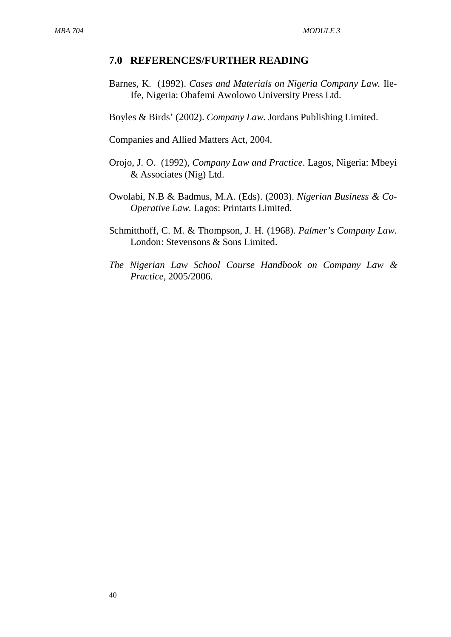#### **7.0 REFERENCES/FURTHER READING**

Barnes, K. (1992). *Cases and Materials on Nigeria Company Law.* Ile-Ife, Nigeria: Obafemi Awolowo University Press Ltd.

Boyles & Birds' (2002). *Company Law*. Jordans Publishing Limited.

Companies and Allied Matters Act, 2004.

- Orojo, J. O. (1992), *Company Law and Practice*. Lagos, Nigeria: Mbeyi & Associates (Nig) Ltd.
- Owolabi, N.B & Badmus, M.A. (Eds). (2003). *Nigerian Business & Co-Operative Law*. Lagos: Printarts Limited.
- Schmitthoff, C. M. & Thompson, J. H. (1968). *Palmer's Company Law*. London: Stevensons & Sons Limited.
- *The Nigerian Law School Course Handbook on Company Law & Practice*, 2005/2006.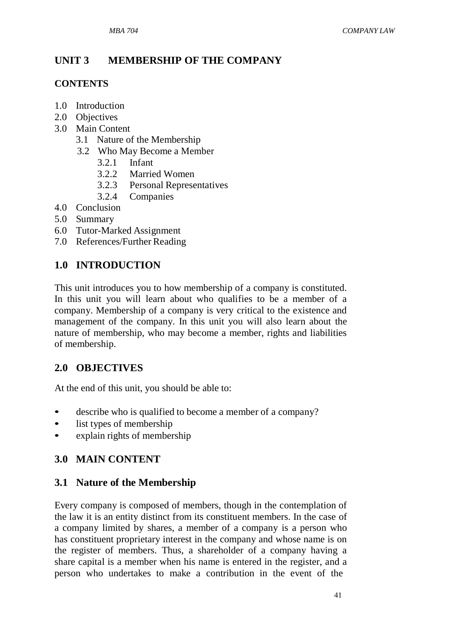# **UNIT 3 MEMBERSHIP OF THE COMPANY**

# **CONTENTS**

- 1.0 Introduction
- 2.0 Objectives
- 3.0 Main Content
	- 3.1 Nature of the Membership
	- 3.2 Who May Become a Member
		- 3.2.1 Infant
		- 3.2.2 Married Women
		- 3.2.3 Personal Representatives
		- 3.2.4 Companies
- 4.0 Conclusion
- 5.0 Summary
- 6.0 Tutor-Marked Assignment
- 7.0 References/Further Reading

# **1.0 INTRODUCTION**

This unit introduces you to how membership of a company is constituted. In this unit you will learn about who qualifies to be a member of a company. Membership of a company is very critical to the existence and management of the company. In this unit you will also learn about the nature of membership, who may become a member, rights and liabilities of membership.

# **2.0 OBJECTIVES**

At the end of this unit, you should be able to:

- describe who is qualified to become a member of a company?
- list types of membership
- explain rights of membership

# **3.0 MAIN CONTENT**

# **3.1 Nature of the Membership**

Every company is composed of members, though in the contemplation of the law it is an entity distinct from its constituent members. In the case of a company limited by shares, a member of a company is a person who has constituent proprietary interest in the company and whose name is on the register of members. Thus, a shareholder of a company having a share capital is a member when his name is entered in the register, and a person who undertakes to make a contribution in the event of the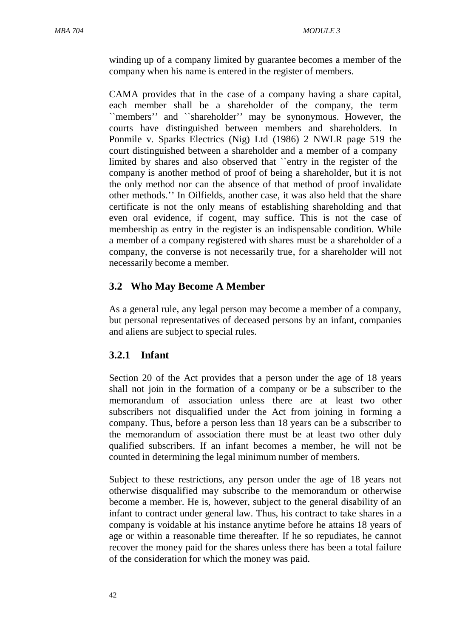winding up of a company limited by guarantee becomes a member of the company when his name is entered in the register of members.

CAMA provides that in the case of a company having a share capital, each member shall be a shareholder of the company, the term ``members'' and ``shareholder'' may be synonymous. However, the courts have distinguished between members and shareholders. In Ponmile v. Sparks Electrics (Nig) Ltd (1986) 2 NWLR page 519 the court distinguished between a shareholder and a member of a company limited by shares and also observed that ``entry in the register of the company is another method of proof of being a shareholder, but it is not the only method nor can the absence of that method of proof invalidate other methods.'' In Oilfields, another case, it was also held that the share certificate is not the only means of establishing shareholding and that even oral evidence, if cogent, may suffice. This is not the case of membership as entry in the register is an indispensable condition. While a member of a company registered with shares must be a shareholder of a company, the converse is not necessarily true, for a shareholder will not necessarily become a member.

## **3.2 Who May Become A Member**

As a general rule, any legal person may become a member of a company, but personal representatives of deceased persons by an infant, companies and aliens are subject to special rules.

## **3.2.1 Infant**

Section 20 of the Act provides that a person under the age of 18 years shall not join in the formation of a company or be a subscriber to the memorandum of association unless there are at least two other subscribers not disqualified under the Act from joining in forming a company. Thus, before a person less than 18 years can be a subscriber to the memorandum of association there must be at least two other duly qualified subscribers. If an infant becomes a member, he will not be counted in determining the legal minimum number of members.

Subject to these restrictions, any person under the age of 18 years not otherwise disqualified may subscribe to the memorandum or otherwise become a member. He is, however, subject to the general disability of an infant to contract under general law. Thus, his contract to take shares in a company is voidable at his instance anytime before he attains 18 years of age or within a reasonable time thereafter. If he so repudiates, he cannot recover the money paid for the shares unless there has been a total failure of the consideration for which the money was paid.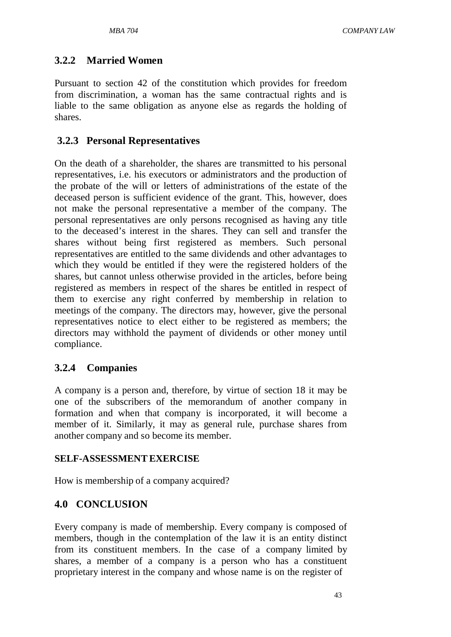### **3.2.2 Married Women**

Pursuant to section 42 of the constitution which provides for freedom from discrimination, a woman has the same contractual rights and is liable to the same obligation as anyone else as regards the holding of shares.

### **3.2.3 Personal Representatives**

On the death of a shareholder, the shares are transmitted to his personal representatives, i.e. his executors or administrators and the production of the probate of the will or letters of administrations of the estate of the deceased person is sufficient evidence of the grant. This, however, does not make the personal representative a member of the company. The personal representatives are only persons recognised as having any title to the deceased's interest in the shares. They can sell and transfer the shares without being first registered as members. Such personal representatives are entitled to the same dividends and other advantages to which they would be entitled if they were the registered holders of the shares, but cannot unless otherwise provided in the articles, before being registered as members in respect of the shares be entitled in respect of them to exercise any right conferred by membership in relation to meetings of the company. The directors may, however, give the personal representatives notice to elect either to be registered as members; the directors may withhold the payment of dividends or other money until compliance.

### **3.2.4 Companies**

A company is a person and, therefore, by virtue of section 18 it may be one of the subscribers of the memorandum of another company in formation and when that company is incorporated, it will become a member of it. Similarly, it may as general rule, purchase shares from another company and so become its member.

### **SELF-ASSESSMENTEXERCISE**

How is membership of a company acquired?

## **4.0 CONCLUSION**

Every company is made of membership. Every company is composed of members, though in the contemplation of the law it is an entity distinct from its constituent members. In the case of a company limited by shares, a member of a company is a person who has a constituent proprietary interest in the company and whose name is on the register of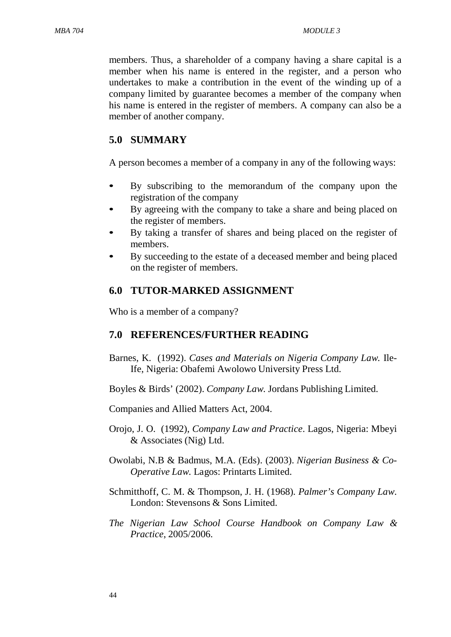members. Thus, a shareholder of a company having a share capital is a member when his name is entered in the register, and a person who undertakes to make a contribution in the event of the winding up of a company limited by guarantee becomes a member of the company when his name is entered in the register of members. A company can also be a member of another company.

### **5.0 SUMMARY**

A person becomes a member of a company in any of the following ways:

- By subscribing to the memorandum of the company upon the registration of the company
- By agreeing with the company to take a share and being placed on the register of members.
- By taking a transfer of shares and being placed on the register of members.
- By succeeding to the estate of a deceased member and being placed on the register of members.

### **6.0 TUTOR-MARKED ASSIGNMENT**

Who is a member of a company?

#### **7.0 REFERENCES/FURTHER READING**

- Barnes, K. (1992). *Cases and Materials on Nigeria Company Law.* Ile-Ife, Nigeria: Obafemi Awolowo University Press Ltd.
- Boyles & Birds' (2002). *Company Law*. Jordans Publishing Limited.

Companies and Allied Matters Act, 2004.

- Orojo, J. O. (1992), *Company Law and Practice*. Lagos, Nigeria: Mbeyi & Associates (Nig) Ltd.
- Owolabi, N.B & Badmus, M.A. (Eds). (2003). *Nigerian Business & Co-Operative Law*. Lagos: Printarts Limited.
- Schmitthoff, C. M. & Thompson, J. H. (1968). *Palmer's Company Law*. London: Stevensons & Sons Limited.
- *The Nigerian Law School Course Handbook on Company Law & Practice*, 2005/2006.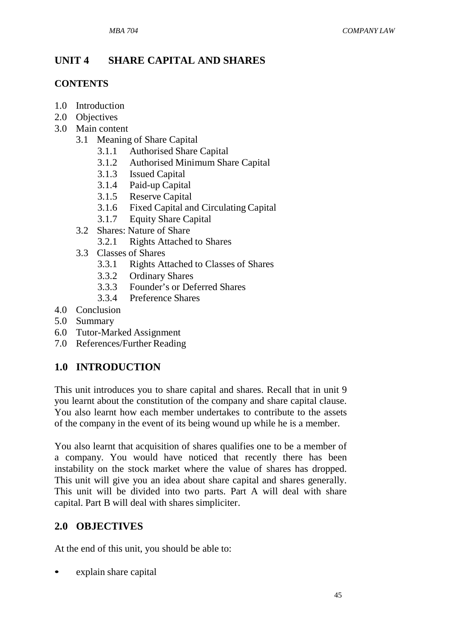# **UNIT 4 SHARE CAPITAL AND SHARES**

## **CONTENTS**

- 1.0 Introduction
- 2.0 Objectives
- 3.0 Main content
	- 3.1 Meaning of Share Capital
		- 3.1.1 Authorised Share Capital
		- 3.1.2 Authorised Minimum Share Capital<br>3.1.3 Issued Capital
		- **Issued Capital**
		- 3.1.4 Paid-up Capital
		- 3.1.5 Reserve Capital
		- 3.1.6 Fixed Capital and Circulating Capital
		- 3.1.7 Equity Share Capital
	- 3.2 Shares: Nature of Share
		- 3.2.1 Rights Attached to Shares
	- 3.3 Classes of Shares
		- 3.3.1 Rights Attached to Classes of Shares
		- 3.3.2 Ordinary Shares
		- 3.3.3 Founder's or Deferred Shares
		- 3.3.4 Preference Shares
- 4.0 Conclusion
- 5.0 Summary
- 6.0 Tutor-Marked Assignment
- 7.0 References/Further Reading

# **1.0 INTRODUCTION**

This unit introduces you to share capital and shares. Recall that in unit 9 you learnt about the constitution of the company and share capital clause. You also learnt how each member undertakes to contribute to the assets of the company in the event of its being wound up while he is a member.

You also learnt that acquisition of shares qualifies one to be a member of a company. You would have noticed that recently there has been instability on the stock market where the value of shares has dropped. This unit will give you an idea about share capital and shares generally. This unit will be divided into two parts. Part A will deal with share capital. Part B will deal with shares simpliciter.

# **2.0 OBJECTIVES**

At the end of this unit, you should be able to:

explain share capital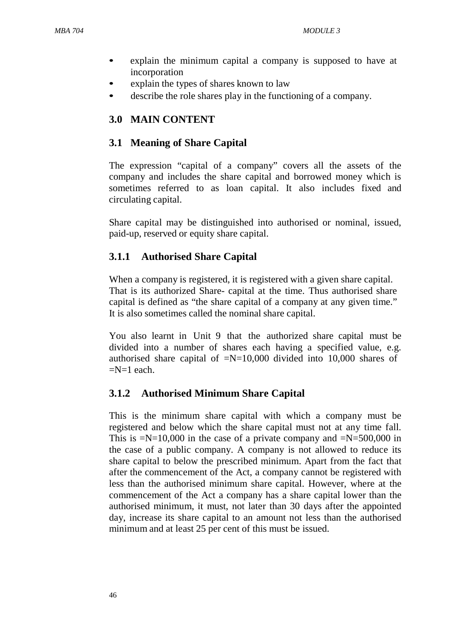- explain the minimum capital a company is supposed to have at incorporation
- explain the types of shares known to law
- describe the role shares play in the functioning of a company.

# **3.0 MAIN CONTENT**

# **3.1 Meaning of Share Capital**

The expression "capital of a company" covers all the assets of the company and includes the share capital and borrowed money which is sometimes referred to as loan capital. It also includes fixed and circulating capital.

Share capital may be distinguished into authorised or nominal, issued, paid-up, reserved or equity share capital.

# **3.1.1 Authorised Share Capital**

When a company is registered, it is registered with a given share capital. That is its authorized Share- capital at the time. Thus authorised share capital is defined as "the share capital of a company at any given time." It is also sometimes called the nominal share capital.

You also learnt in Unit 9 that the authorized share capital must be divided into a number of shares each having a specified value, e.g. authorised share capital of  $=N=10,000$  divided into 10,000 shares of  $=N=1$  each.

# **3.1.2 Authorised Minimum Share Capital**

This is the minimum share capital with which a company must be registered and below which the share capital must not at any time fall. This is  $=N=10,000$  in the case of a private company and  $=N=500,000$  in the case of a public company. A company is not allowed to reduce its share capital to below the prescribed minimum. Apart from the fact that after the commencement of the Act, a company cannot be registered with less than the authorised minimum share capital. However, where at the commencement of the Act a company has a share capital lower than the authorised minimum, it must, not later than 30 days after the appointed day, increase its share capital to an amount not less than the authorised minimum and at least 25 per cent of this must be issued.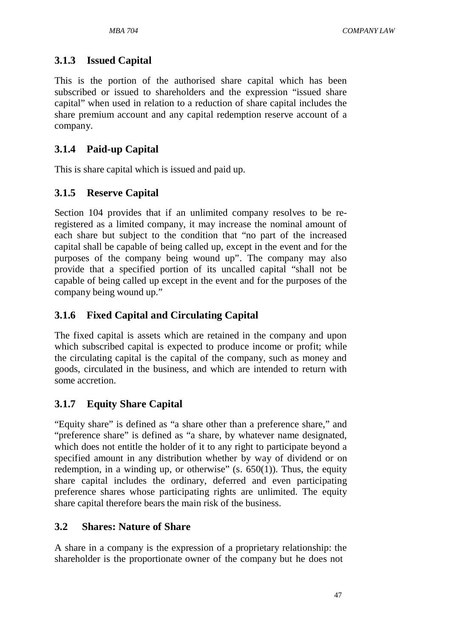# **3.1.3 Issued Capital**

This is the portion of the authorised share capital which has been subscribed or issued to shareholders and the expression "issued share capital" when used in relation to a reduction of share capital includes the share premium account and any capital redemption reserve account of a company.

# **3.1.4 Paid-up Capital**

This is share capital which is issued and paid up.

# **3.1.5 Reserve Capital**

Section 104 provides that if an unlimited company resolves to be reregistered as a limited company, it may increase the nominal amount of each share but subject to the condition that "no part of the increased capital shall be capable of being called up, except in the event and for the purposes of the company being wound up". The company may also provide that a specified portion of its uncalled capital "shall not be capable of being called up except in the event and for the purposes of the company being wound up."

# **3.1.6 Fixed Capital and Circulating Capital**

The fixed capital is assets which are retained in the company and upon which subscribed capital is expected to produce income or profit; while the circulating capital is the capital of the company, such as money and goods, circulated in the business, and which are intended to return with some accretion.

# **3.1.7 Equity Share Capital**

"Equity share" is defined as "a share other than a preference share," and "preference share" is defined as "a share, by whatever name designated, which does not entitle the holder of it to any right to participate beyond a specified amount in any distribution whether by way of dividend or on redemption, in a winding up, or otherwise"  $(s. 650(1))$ . Thus, the equity share capital includes the ordinary, deferred and even participating preference shares whose participating rights are unlimited. The equity share capital therefore bears the main risk of the business.

# **3.2 Shares: Nature of Share**

A share in a company is the expression of a proprietary relationship: the shareholder is the proportionate owner of the company but he does not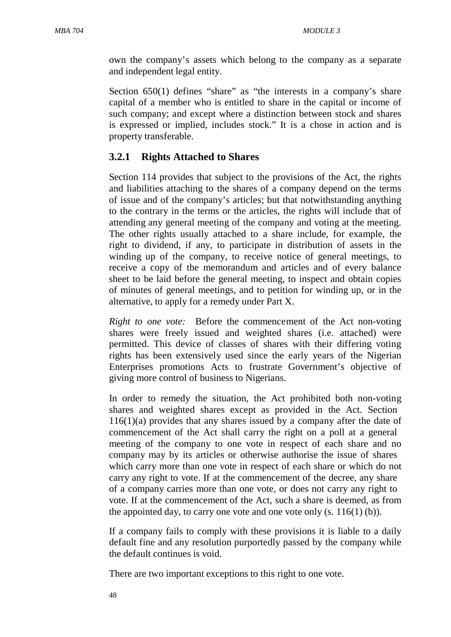own the company's assets which belong to the company as a separate and independent legal entity.

Section 650(1) defines "share" as "the interests in a company's share capital of a member who is entitled to share in the capital or income of such company; and except where a distinction between stock and shares is expressed or implied, includes stock." It is a chose in action and is property transferable.

## **3.2.1 Rights Attached to Shares**

Section 114 provides that subject to the provisions of the Act, the rights and liabilities attaching to the shares of a company depend on the terms of issue and of the company's articles; but that notwithstanding anything to the contrary in the terms or the articles, the rights will include that of attending any general meeting of the company and voting at the meeting. The other rights usually attached to a share include, for example, the right to dividend, if any, to participate in distribution of assets in the winding up of the company, to receive notice of general meetings, to receive a copy of the memorandum and articles and of every balance sheet to be laid before the general meeting, to inspect and obtain copies of minutes of general meetings, and to petition for winding up, or in the alternative, to apply for a remedy under Part X.

*Right to one vote:* Before the commencement of the Act non-voting shares were freely issued and weighted shares (i.e. attached) were permitted. This device of classes of shares with their differing voting rights has been extensively used since the early years of the Nigerian Enterprises promotions Acts to frustrate Government's objective of giving more control of business to Nigerians.

In order to remedy the situation, the Act prohibited both non-voting shares and weighted shares except as provided in the Act. Section 116(1)(a) provides that any shares issued by a company after the date of commencement of the Act shall carry the right on a poll at a general meeting of the company to one vote in respect of each share and no company may by its articles or otherwise authorise the issue of shares which carry more than one vote in respect of each share or which do not carry any right to vote. If at the commencement of the decree, any share of a company carries more than one vote, or does not carry any right to vote. If at the commencement of the Act, such a share is deemed, as from the appointed day, to carry one vote and one vote only  $(s. 116(1)(b))$ .

If a company fails to comply with these provisions it is liable to a daily default fine and any resolution purportedly passed by the company while the default continues is void.

There are two important exceptions to this right to one vote.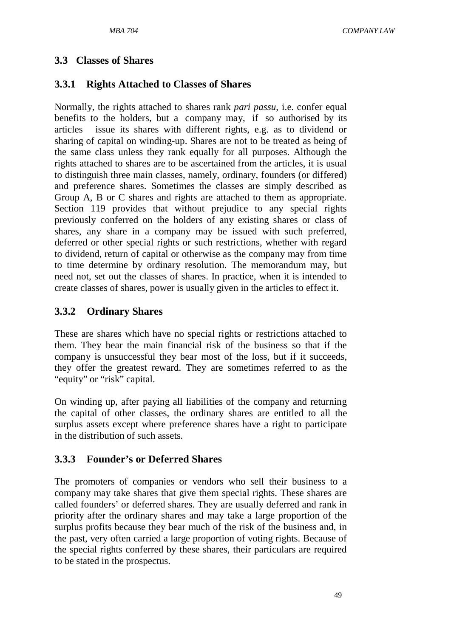### **3.3 Classes of Shares**

### **3.3.1 Rights Attached to Classes of Shares**

Normally, the rights attached to shares rank *pari passu*, i.e. confer equal benefits to the holders, but a company may, if so authorised by its articles issue its shares with different rights, e.g. as to dividend or sharing of capital on winding-up. Shares are not to be treated as being of the same class unless they rank equally for all purposes. Although the rights attached to shares are to be ascertained from the articles, it is usual to distinguish three main classes, namely, ordinary, founders (or differed) and preference shares. Sometimes the classes are simply described as Group A, B or C shares and rights are attached to them as appropriate. Section 119 provides that without prejudice to any special rights previously conferred on the holders of any existing shares or class of shares, any share in a company may be issued with such preferred, deferred or other special rights or such restrictions, whether with regard to dividend, return of capital or otherwise as the company may from time to time determine by ordinary resolution. The memorandum may, but need not, set out the classes of shares. In practice, when it is intended to create classes of shares, power is usually given in the articles to effect it.

### **3.3.2 Ordinary Shares**

These are shares which have no special rights or restrictions attached to them. They bear the main financial risk of the business so that if the company is unsuccessful they bear most of the loss, but if it succeeds, they offer the greatest reward. They are sometimes referred to as the "equity" or "risk" capital.

On winding up, after paying all liabilities of the company and returning the capital of other classes, the ordinary shares are entitled to all the surplus assets except where preference shares have a right to participate in the distribution of such assets.

### **3.3.3 Founder's or Deferred Shares**

The promoters of companies or vendors who sell their business to a company may take shares that give them special rights. These shares are called founders' or deferred shares. They are usually deferred and rank in priority after the ordinary shares and may take a large proportion of the surplus profits because they bear much of the risk of the business and, in the past, very often carried a large proportion of voting rights. Because of the special rights conferred by these shares, their particulars are required to be stated in the prospectus.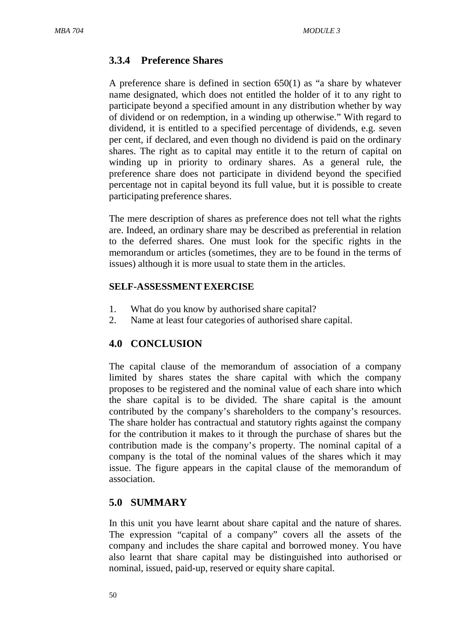## **3.3.4 Preference Shares**

A preference share is defined in section 650(1) as "a share by whatever name designated, which does not entitled the holder of it to any right to participate beyond a specified amount in any distribution whether by way of dividend or on redemption, in a winding up otherwise." With regard to dividend, it is entitled to a specified percentage of dividends, e.g. seven per cent, if declared, and even though no dividend is paid on the ordinary shares. The right as to capital may entitle it to the return of capital on winding up in priority to ordinary shares. As a general rule, the preference share does not participate in dividend beyond the specified percentage not in capital beyond its full value, but it is possible to create participating preference shares.

The mere description of shares as preference does not tell what the rights are. Indeed, an ordinary share may be described as preferential in relation to the deferred shares. One must look for the specific rights in the memorandum or articles (sometimes, they are to be found in the terms of issues) although it is more usual to state them in the articles.

### **SELF-ASSESSMENTEXERCISE**

- 1. What do you know by authorised share capital?
- 2. Name at least four categories of authorised share capital.

# **4.0 CONCLUSION**

The capital clause of the memorandum of association of a company limited by shares states the share capital with which the company proposes to be registered and the nominal value of each share into which the share capital is to be divided. The share capital is the amount contributed by the company's shareholders to the company's resources. The share holder has contractual and statutory rights against the company for the contribution it makes to it through the purchase of shares but the contribution made is the company's property. The nominal capital of a company is the total of the nominal values of the shares which it may issue. The figure appears in the capital clause of the memorandum of association.

# **5.0 SUMMARY**

In this unit you have learnt about share capital and the nature of shares. The expression "capital of a company" covers all the assets of the company and includes the share capital and borrowed money. You have also learnt that share capital may be distinguished into authorised or nominal, issued, paid-up, reserved or equity share capital.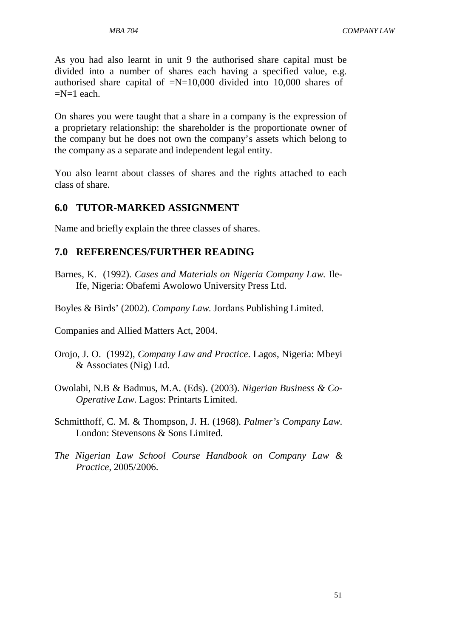*MBA 704 COMPANY LAW*

As you had also learnt in unit 9 the authorised share capital must be divided into a number of shares each having a specified value, e.g. authorised share capital of  $=N=10,000$  divided into 10,000 shares of  $=N=1$  each.

On shares you were taught that a share in a company is the expression of a proprietary relationship: the shareholder is the proportionate owner of the company but he does not own the company's assets which belong to the company as a separate and independent legal entity.

You also learnt about classes of shares and the rights attached to each class of share.

## **6.0 TUTOR-MARKED ASSIGNMENT**

Name and briefly explain the three classes of shares.

## **7.0 REFERENCES/FURTHER READING**

- Barnes, K. (1992). *Cases and Materials on Nigeria Company Law.* Ile-Ife, Nigeria: Obafemi Awolowo University Press Ltd.
- Boyles & Birds' (2002). *Company Law*. Jordans Publishing Limited.

Companies and Allied Matters Act, 2004.

- Orojo, J. O. (1992), *Company Law and Practice*. Lagos, Nigeria: Mbeyi & Associates (Nig) Ltd.
- Owolabi, N.B & Badmus, M.A. (Eds). (2003). *Nigerian Business & Co-Operative Law*. Lagos: Printarts Limited.
- Schmitthoff, C. M. & Thompson, J. H. (1968). *Palmer's Company Law*. London: Stevensons & Sons Limited.
- *The Nigerian Law School Course Handbook on Company Law & Practice*, 2005/2006.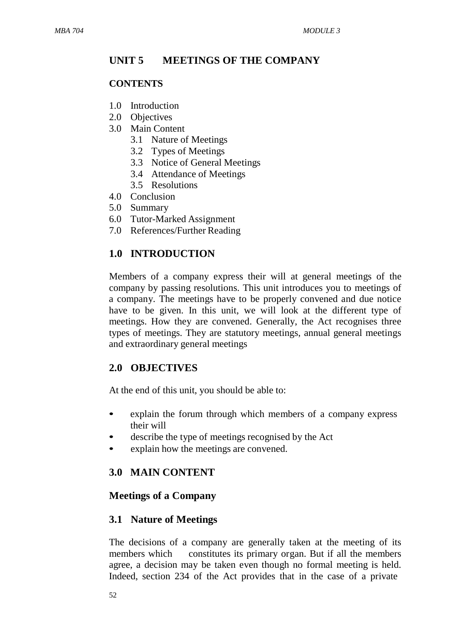# **UNIT 5 MEETINGS OF THE COMPANY**

## **CONTENTS**

- 1.0 Introduction
- 2.0 Objectives
- 3.0 Main Content
	- 3.1 Nature of Meetings
	- 3.2 Types of Meetings
	- 3.3 Notice of General Meetings
	- 3.4 Attendance of Meetings
	- 3.5 Resolutions
- 4.0 Conclusion
- 5.0 Summary
- 6.0 Tutor-Marked Assignment
- 7.0 References/Further Reading

# **1.0 INTRODUCTION**

Members of a company express their will at general meetings of the company by passing resolutions. This unit introduces you to meetings of a company. The meetings have to be properly convened and due notice have to be given. In this unit, we will look at the different type of meetings. How they are convened. Generally, the Act recognises three types of meetings. They are statutory meetings, annual general meetings and extraordinary general meetings

# **2.0 OBJECTIVES**

At the end of this unit, you should be able to:

- explain the forum through which members of a company express their will
- describe the type of meetings recognised by the Act
- explain how the meetings are convened.

# **3.0 MAIN CONTENT**

# **Meetings of a Company**

# **3.1 Nature of Meetings**

The decisions of a company are generally taken at the meeting of its members which constitutes its primary organ. But if all the members agree, a decision may be taken even though no formal meeting is held. Indeed, section 234 of the Act provides that in the case of a private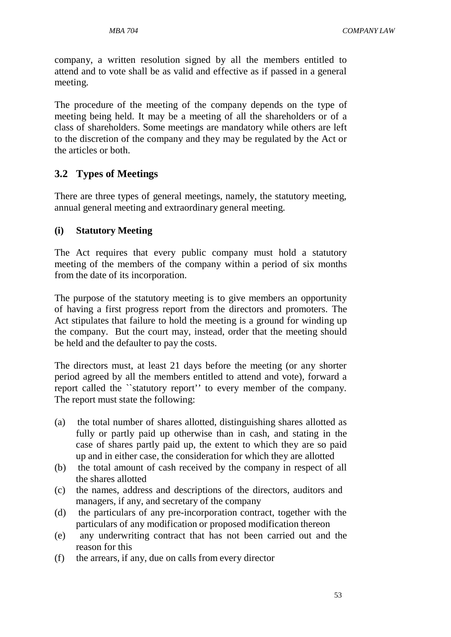company, a written resolution signed by all the members entitled to attend and to vote shall be as valid and effective as if passed in a general meeting.

The procedure of the meeting of the company depends on the type of meeting being held. It may be a meeting of all the shareholders or of a class of shareholders. Some meetings are mandatory while others are left to the discretion of the company and they may be regulated by the Act or the articles or both.

## **3.2 Types of Meetings**

There are three types of general meetings, namely, the statutory meeting, annual general meeting and extraordinary general meeting.

### **(i) Statutory Meeting**

The Act requires that every public company must hold a statutory meeting of the members of the company within a period of six months from the date of its incorporation.

The purpose of the statutory meeting is to give members an opportunity of having a first progress report from the directors and promoters. The Act stipulates that failure to hold the meeting is a ground for winding up the company. But the court may, instead, order that the meeting should be held and the defaulter to pay the costs.

The directors must, at least 21 days before the meeting (or any shorter period agreed by all the members entitled to attend and vote), forward a report called the ``statutory report'' to every member of the company. The report must state the following:

- (a) the total number of shares allotted, distinguishing shares allotted as fully or partly paid up otherwise than in cash, and stating in the case of shares partly paid up, the extent to which they are so paid up and in either case, the consideration for which they are allotted
- (b) the total amount of cash received by the company in respect of all the shares allotted
- (c) the names, address and descriptions of the directors, auditors and managers, if any, and secretary of the company
- (d) the particulars of any pre-incorporation contract, together with the particulars of any modification or proposed modification thereon
- (e) any underwriting contract that has not been carried out and the reason for this
- (f) the arrears, if any, due on calls from every director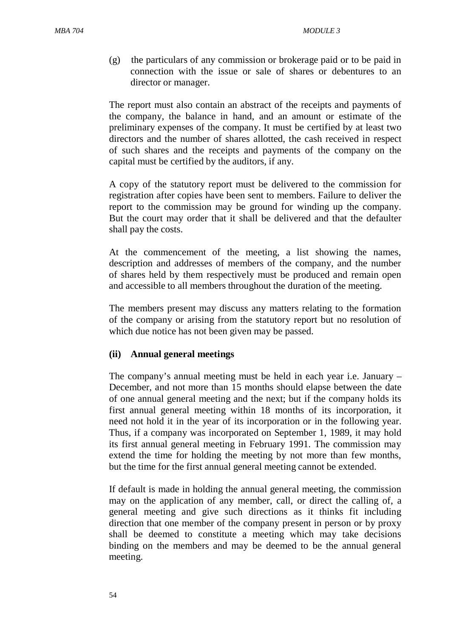(g) the particulars of any commission or brokerage paid or to be paid in connection with the issue or sale of shares or debentures to an director or manager.

The report must also contain an abstract of the receipts and payments of the company, the balance in hand, and an amount or estimate of the preliminary expenses of the company. It must be certified by at least two directors and the number of shares allotted, the cash received in respect of such shares and the receipts and payments of the company on the capital must be certified by the auditors, if any.

A copy of the statutory report must be delivered to the commission for registration after copies have been sent to members. Failure to deliver the report to the commission may be ground for winding up the company. But the court may order that it shall be delivered and that the defaulter shall pay the costs.

At the commencement of the meeting, a list showing the names, description and addresses of members of the company, and the number of shares held by them respectively must be produced and remain open and accessible to all members throughout the duration of the meeting.

The members present may discuss any matters relating to the formation of the company or arising from the statutory report but no resolution of which due notice has not been given may be passed.

### **(ii) Annual general meetings**

The company's annual meeting must be held in each year i.e. January – December, and not more than 15 months should elapse between the date of one annual general meeting and the next; but if the company holds its first annual general meeting within 18 months of its incorporation, it need not hold it in the year of its incorporation or in the following year. Thus, if a company was incorporated on September 1, 1989, it may hold its first annual general meeting in February 1991. The commission may extend the time for holding the meeting by not more than few months, but the time for the first annual general meeting cannot be extended.

If default is made in holding the annual general meeting, the commission may on the application of any member, call, or direct the calling of, a general meeting and give such directions as it thinks fit including direction that one member of the company present in person or by proxy shall be deemed to constitute a meeting which may take decisions binding on the members and may be deemed to be the annual general meeting.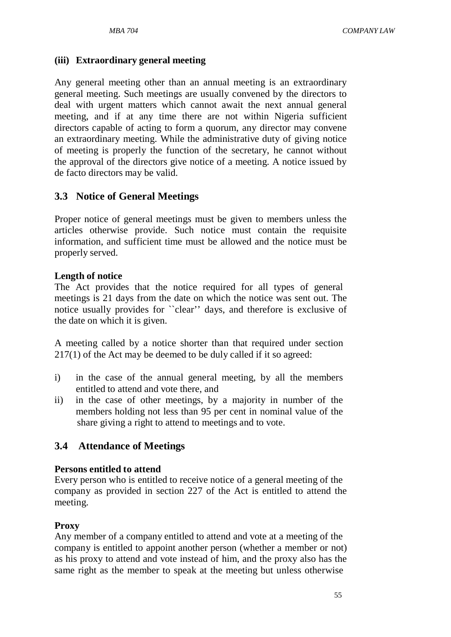### **(iii) Extraordinary general meeting**

Any general meeting other than an annual meeting is an extraordinary general meeting. Such meetings are usually convened by the directors to deal with urgent matters which cannot await the next annual general meeting, and if at any time there are not within Nigeria sufficient directors capable of acting to form a quorum, any director may convene an extraordinary meeting. While the administrative duty of giving notice of meeting is properly the function of the secretary, he cannot without the approval of the directors give notice of a meeting. A notice issued by de facto directors may be valid.

## **3.3 Notice of General Meetings**

Proper notice of general meetings must be given to members unless the articles otherwise provide. Such notice must contain the requisite information, and sufficient time must be allowed and the notice must be properly served.

#### **Length of notice**

The Act provides that the notice required for all types of general meetings is 21 days from the date on which the notice was sent out. The notice usually provides for ``clear'' days, and therefore is exclusive of the date on which it is given.

A meeting called by a notice shorter than that required under section 217(1) of the Act may be deemed to be duly called if it so agreed:

- i) in the case of the annual general meeting, by all the members entitled to attend and vote there, and
- ii) in the case of other meetings, by a majority in number of the members holding not less than 95 per cent in nominal value of the share giving a right to attend to meetings and to vote.

### **3.4 Attendance of Meetings**

### **Persons entitled to attend**

Every person who is entitled to receive notice of a general meeting of the company as provided in section 227 of the Act is entitled to attend the meeting.

### **Proxy**

Any member of a company entitled to attend and vote at a meeting of the company is entitled to appoint another person (whether a member or not) as his proxy to attend and vote instead of him, and the proxy also has the same right as the member to speak at the meeting but unless otherwise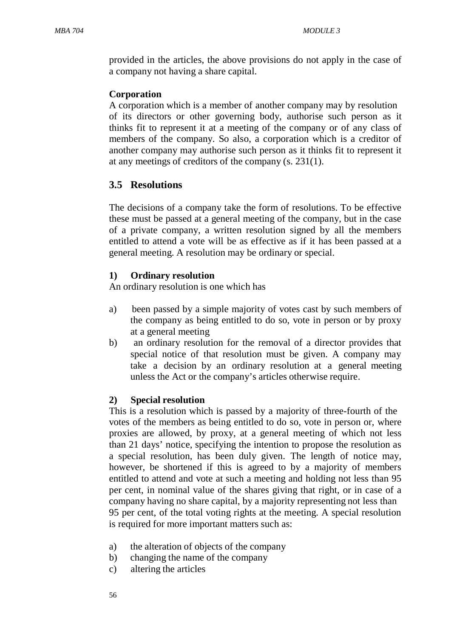provided in the articles, the above provisions do not apply in the case of a company not having a share capital.

### **Corporation**

A corporation which is a member of another company may by resolution of its directors or other governing body, authorise such person as it thinks fit to represent it at a meeting of the company or of any class of members of the company. So also, a corporation which is a creditor of another company may authorise such person as it thinks fit to represent it at any meetings of creditors of the company (s. 231(1).

## **3.5 Resolutions**

The decisions of a company take the form of resolutions. To be effective these must be passed at a general meeting of the company, but in the case of a private company, a written resolution signed by all the members entitled to attend a vote will be as effective as if it has been passed at a general meeting. A resolution may be ordinary or special.

## **1) Ordinary resolution**

An ordinary resolution is one which has

- a) been passed by a simple majority of votes cast by such members of the company as being entitled to do so, vote in person or by proxy at a general meeting
- b) an ordinary resolution for the removal of a director provides that special notice of that resolution must be given. A company may take a decision by an ordinary resolution at a general meeting unless the Act or the company's articles otherwise require.

### **2) Special resolution**

This is a resolution which is passed by a majority of three-fourth of the votes of the members as being entitled to do so, vote in person or, where proxies are allowed, by proxy, at a general meeting of which not less than 21 days' notice, specifying the intention to propose the resolution as a special resolution, has been duly given. The length of notice may, however, be shortened if this is agreed to by a majority of members entitled to attend and vote at such a meeting and holding not less than 95 per cent, in nominal value of the shares giving that right, or in case of a company having no share capital, by a majority representing not less than 95 per cent, of the total voting rights at the meeting. A special resolution is required for more important matters such as:

- a) the alteration of objects of the company
- b) changing the name of the company
- c) altering the articles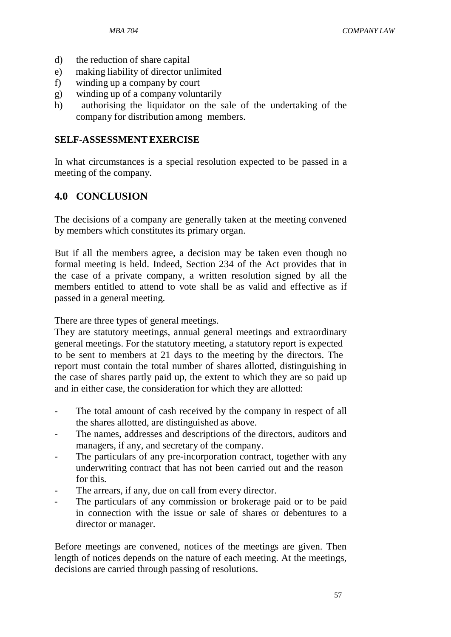- d) the reduction of share capital
- e) making liability of director unlimited
- f) winding up a company by court
- g) winding up of a company voluntarily
- h) authorising the liquidator on the sale of the undertaking of the company for distribution among members.

### **SELF-ASSESSMENTEXERCISE**

In what circumstances is a special resolution expected to be passed in a meeting of the company.

# **4.0 CONCLUSION**

The decisions of a company are generally taken at the meeting convened by members which constitutes its primary organ.

But if all the members agree, a decision may be taken even though no formal meeting is held. Indeed, Section 234 of the Act provides that in the case of a private company, a written resolution signed by all the members entitled to attend to vote shall be as valid and effective as if passed in a general meeting.

There are three types of general meetings.

They are statutory meetings, annual general meetings and extraordinary general meetings. For the statutory meeting, a statutory report is expected to be sent to members at 21 days to the meeting by the directors. The report must contain the total number of shares allotted, distinguishing in the case of shares partly paid up, the extent to which they are so paid up and in either case, the consideration for which they are allotted:

- The total amount of cash received by the company in respect of all the shares allotted, are distinguished as above.
- The names, addresses and descriptions of the directors, auditors and managers, if any, and secretary of the company.
- The particulars of any pre-incorporation contract, together with any underwriting contract that has not been carried out and the reason for this.
- The arrears, if any, due on call from every director.
- The particulars of any commission or brokerage paid or to be paid in connection with the issue or sale of shares or debentures to a director or manager.

Before meetings are convened, notices of the meetings are given. Then length of notices depends on the nature of each meeting. At the meetings, decisions are carried through passing of resolutions.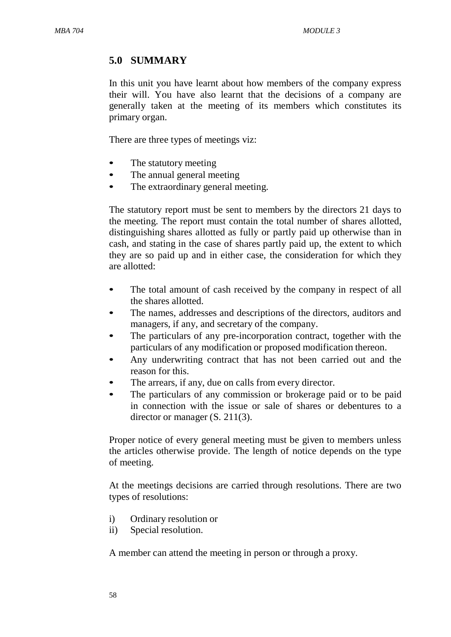# **5.0 SUMMARY**

In this unit you have learnt about how members of the company express their will. You have also learnt that the decisions of a company are generally taken at the meeting of its members which constitutes its primary organ.

There are three types of meetings viz:

- The statutory meeting
- The annual general meeting
- The extraordinary general meeting.

The statutory report must be sent to members by the directors 21 days to the meeting. The report must contain the total number of shares allotted, distinguishing shares allotted as fully or partly paid up otherwise than in cash, and stating in the case of shares partly paid up, the extent to which they are so paid up and in either case, the consideration for which they are allotted:

- The total amount of cash received by the company in respect of all the shares allotted.
- The names, addresses and descriptions of the directors, auditors and managers, if any, and secretary of the company.
- The particulars of any pre-incorporation contract, together with the particulars of any modification or proposed modification thereon.
- Any underwriting contract that has not been carried out and the reason for this.
- The arrears, if any, due on calls from every director.
- The particulars of any commission or brokerage paid or to be paid in connection with the issue or sale of shares or debentures to a director or manager (S. 211(3).

Proper notice of every general meeting must be given to members unless the articles otherwise provide. The length of notice depends on the type of meeting.

At the meetings decisions are carried through resolutions. There are two types of resolutions:

- i) Ordinary resolution or
- ii) Special resolution.

A member can attend the meeting in person or through a proxy.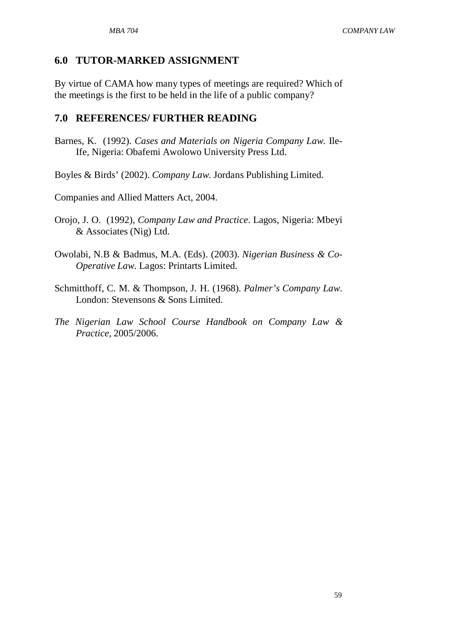## **6.0 TUTOR-MARKED ASSIGNMENT**

By virtue of CAMA how many types of meetings are required? Which of the meetings is the first to be held in the life of a public company?

### **7.0 REFERENCES/ FURTHER READING**

- Barnes, K. (1992). *Cases and Materials on Nigeria Company Law.* Ile-Ife, Nigeria: Obafemi Awolowo University Press Ltd.
- Boyles & Birds' (2002). *Company Law*. Jordans Publishing Limited.
- Companies and Allied Matters Act, 2004.
- Orojo, J. O. (1992), *Company Law and Practice*. Lagos, Nigeria: Mbeyi & Associates (Nig) Ltd.
- Owolabi, N.B & Badmus, M.A. (Eds). (2003). *Nigerian Business & Co-Operative Law*. Lagos: Printarts Limited.
- Schmitthoff, C. M. & Thompson, J. H. (1968). *Palmer's Company Law*. London: Stevensons & Sons Limited.
- *The Nigerian Law School Course Handbook on Company Law & Practice*, 2005/2006.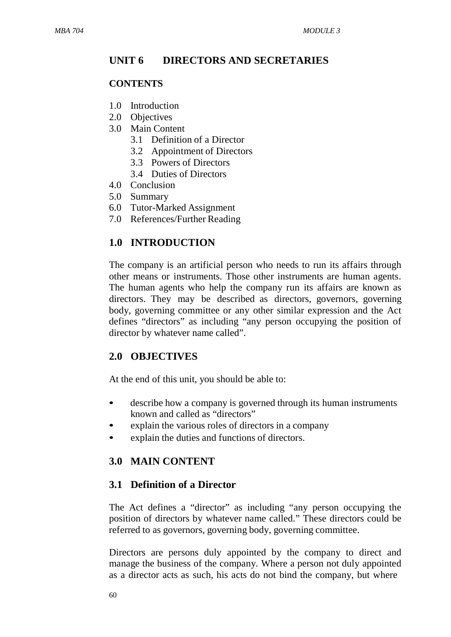# **UNIT 6 DIRECTORS AND SECRETARIES**

## **CONTENTS**

- 1.0 Introduction
- 2.0 Objectives
- 3.0 Main Content
	- 3.1 Definition of a Director
	- 3.2 Appointment of Directors
	- 3.3 Powers of Directors
	- 3.4 Duties of Directors
- 4.0 Conclusion
- 5.0 Summary
- 6.0 Tutor-Marked Assignment
- 7.0 References/Further Reading

# **1.0 INTRODUCTION**

The company is an artificial person who needs to run its affairs through other means or instruments. Those other instruments are human agents. The human agents who help the company run its affairs are known as directors. They may be described as directors, governors, governing body, governing committee or any other similar expression and the Act defines "directors" as including "any person occupying the position of director by whatever name called".

# **2.0 OBJECTIVES**

At the end of this unit, you should be able to:

- describe how a company is governed through its human instruments known and called as "directors"
- explain the various roles of directors in a company
- explain the duties and functions of directors.

## **3.0 MAIN CONTENT**

## **3.1 Definition of a Director**

The Act defines a "director" as including "any person occupying the position of directors by whatever name called." These directors could be referred to as governors, governing body, governing committee.

Directors are persons duly appointed by the company to direct and manage the business of the company. Where a person not duly appointed as a director acts as such, his acts do not bind the company, but where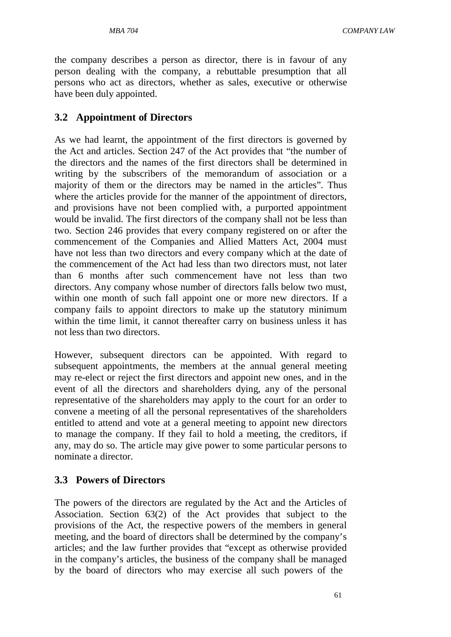the company describes a person as director, there is in favour of any person dealing with the company, a rebuttable presumption that all persons who act as directors, whether as sales, executive or otherwise have been duly appointed.

### **3.2 Appointment of Directors**

As we had learnt, the appointment of the first directors is governed by the Act and articles. Section 247 of the Act provides that "the number of the directors and the names of the first directors shall be determined in writing by the subscribers of the memorandum of association or a majority of them or the directors may be named in the articles". Thus where the articles provide for the manner of the appointment of directors, and provisions have not been complied with, a purported appointment would be invalid. The first directors of the company shall not be less than two. Section 246 provides that every company registered on or after the commencement of the Companies and Allied Matters Act, 2004 must have not less than two directors and every company which at the date of the commencement of the Act had less than two directors must, not later than 6 months after such commencement have not less than two directors. Any company whose number of directors falls below two must, within one month of such fall appoint one or more new directors. If a company fails to appoint directors to make up the statutory minimum within the time limit, it cannot thereafter carry on business unless it has not less than two directors.

However, subsequent directors can be appointed. With regard to subsequent appointments, the members at the annual general meeting may re-elect or reject the first directors and appoint new ones, and in the event of all the directors and shareholders dying, any of the personal representative of the shareholders may apply to the court for an order to convene a meeting of all the personal representatives of the shareholders entitled to attend and vote at a general meeting to appoint new directors to manage the company. If they fail to hold a meeting, the creditors, if any, may do so. The article may give power to some particular persons to nominate a director.

#### **3.3 Powers of Directors**

The powers of the directors are regulated by the Act and the Articles of Association. Section 63(2) of the Act provides that subject to the provisions of the Act, the respective powers of the members in general meeting, and the board of directors shall be determined by the company's articles; and the law further provides that "except as otherwise provided in the company's articles, the business of the company shall be managed by the board of directors who may exercise all such powers of the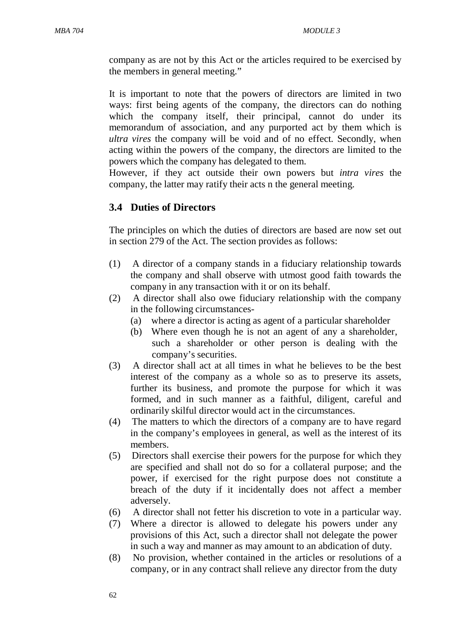company as are not by this Act or the articles required to be exercised by the members in general meeting."

It is important to note that the powers of directors are limited in two ways: first being agents of the company, the directors can do nothing which the company itself, their principal, cannot do under its memorandum of association, and any purported act by them which is *ultra vires* the company will be void and of no effect. Secondly, when acting within the powers of the company, the directors are limited to the powers which the company has delegated to them.

However, if they act outside their own powers but *intra vires* the company, the latter may ratify their acts n the general meeting.

### **3.4 Duties of Directors**

The principles on which the duties of directors are based are now set out in section 279 of the Act. The section provides as follows:

- (1) A director of a company stands in a fiduciary relationship towards the company and shall observe with utmost good faith towards the company in any transaction with it or on its behalf.
- (2) A director shall also owe fiduciary relationship with the company in the following circumstances-
	- (a) where a director is acting as agent of a particular shareholder
	- (b) Where even though he is not an agent of any a shareholder, such a shareholder or other person is dealing with the company's securities.
- (3) A director shall act at all times in what he believes to be the best interest of the company as a whole so as to preserve its assets, further its business, and promote the purpose for which it was formed, and in such manner as a faithful, diligent, careful and ordinarily skilful director would act in the circumstances.
- (4) The matters to which the directors of a company are to have regard in the company's employees in general, as well as the interest of its members.
- (5) Directors shall exercise their powers for the purpose for which they are specified and shall not do so for a collateral purpose; and the power, if exercised for the right purpose does not constitute a breach of the duty if it incidentally does not affect a member adversely.
- (6) A director shall not fetter his discretion to vote in a particular way.
- (7) Where a director is allowed to delegate his powers under any provisions of this Act, such a director shall not delegate the power in such a way and manner as may amount to an abdication of duty.
- (8) No provision, whether contained in the articles or resolutions of a company, or in any contract shall relieve any director from the duty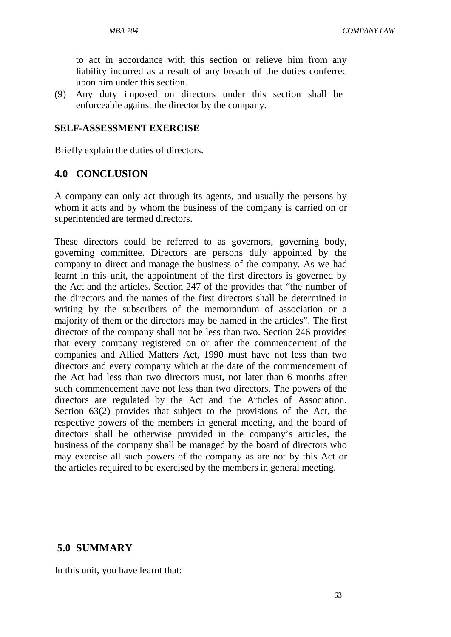to act in accordance with this section or relieve him from any liability incurred as a result of any breach of the duties conferred upon him under this section.

(9) Any duty imposed on directors under this section shall be enforceable against the director by the company.

#### **SELF-ASSESSMENTEXERCISE**

Briefly explain the duties of directors.

### **4.0 CONCLUSION**

A company can only act through its agents, and usually the persons by whom it acts and by whom the business of the company is carried on or superintended are termed directors.

These directors could be referred to as governors, governing body, governing committee. Directors are persons duly appointed by the company to direct and manage the business of the company. As we had learnt in this unit, the appointment of the first directors is governed by the Act and the articles. Section 247 of the provides that "the number of the directors and the names of the first directors shall be determined in writing by the subscribers of the memorandum of association or a majority of them or the directors may be named in the articles". The first directors of the company shall not be less than two. Section 246 provides that every company registered on or after the commencement of the companies and Allied Matters Act, 1990 must have not less than two directors and every company which at the date of the commencement of the Act had less than two directors must, not later than 6 months after such commencement have not less than two directors. The powers of the directors are regulated by the Act and the Articles of Association. Section 63(2) provides that subject to the provisions of the Act, the respective powers of the members in general meeting, and the board of directors shall be otherwise provided in the company's articles, the business of the company shall be managed by the board of directors who may exercise all such powers of the company as are not by this Act or the articles required to be exercised by the members in general meeting.

### **5.0 SUMMARY**

In this unit, you have learnt that: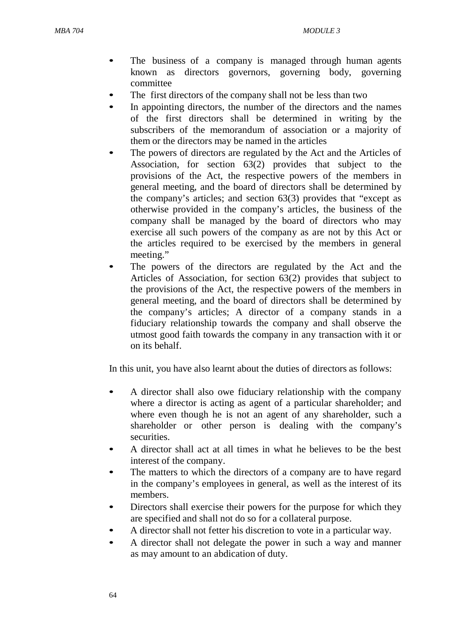- The business of a company is managed through human agents known as directors governors, governing body, governing committee
- The first directors of the company shall not be less than two
- In appointing directors, the number of the directors and the names of the first directors shall be determined in writing by the subscribers of the memorandum of association or a majority of them or the directors may be named in the articles
- The powers of directors are regulated by the Act and the Articles of Association, for section 63(2) provides that subject to the provisions of the Act, the respective powers of the members in general meeting, and the board of directors shall be determined by the company's articles; and section 63(3) provides that "except as otherwise provided in the company's articles, the business of the company shall be managed by the board of directors who may exercise all such powers of the company as are not by this Act or the articles required to be exercised by the members in general meeting."
- The powers of the directors are regulated by the Act and the Articles of Association, for section 63(2) provides that subject to the provisions of the Act, the respective powers of the members in general meeting, and the board of directors shall be determined by the company's articles; A director of a company stands in a fiduciary relationship towards the company and shall observe the utmost good faith towards the company in any transaction with it or on its behalf.

In this unit, you have also learnt about the duties of directors as follows:

- A director shall also owe fiduciary relationship with the company where a director is acting as agent of a particular shareholder; and where even though he is not an agent of any shareholder, such a shareholder or other person is dealing with the company's securities.
- A director shall act at all times in what he believes to be the best interest of the company.
- The matters to which the directors of a company are to have regard in the company's employees in general, as well as the interest of its members.
- Directors shall exercise their powers for the purpose for which they are specified and shall not do so for a collateral purpose.
- A director shall not fetter his discretion to vote in a particular way.
- A director shall not delegate the power in such a way and manner as may amount to an abdication of duty.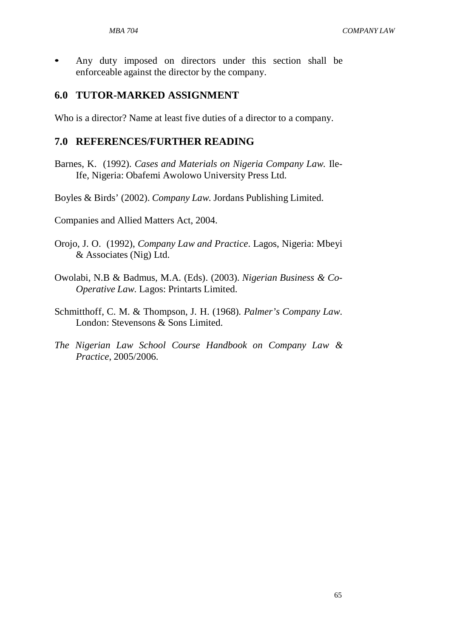• Any duty imposed on directors under this section shall be enforceable against the director by the company.

### **6.0 TUTOR-MARKED ASSIGNMENT**

Who is a director? Name at least five duties of a director to a company.

### **7.0 REFERENCES/FURTHER READING**

Barnes, K. (1992). *Cases and Materials on Nigeria Company Law.* Ile-Ife, Nigeria: Obafemi Awolowo University Press Ltd.

Boyles & Birds' (2002). *Company Law*. Jordans Publishing Limited.

- Orojo, J. O. (1992), *Company Law and Practice*. Lagos, Nigeria: Mbeyi & Associates (Nig) Ltd.
- Owolabi, N.B & Badmus, M.A. (Eds). (2003). *Nigerian Business & Co-Operative Law*. Lagos: Printarts Limited.
- Schmitthoff, C. M. & Thompson, J. H. (1968). *Palmer's Company Law*. London: Stevensons & Sons Limited.
- *The Nigerian Law School Course Handbook on Company Law & Practice*, 2005/2006.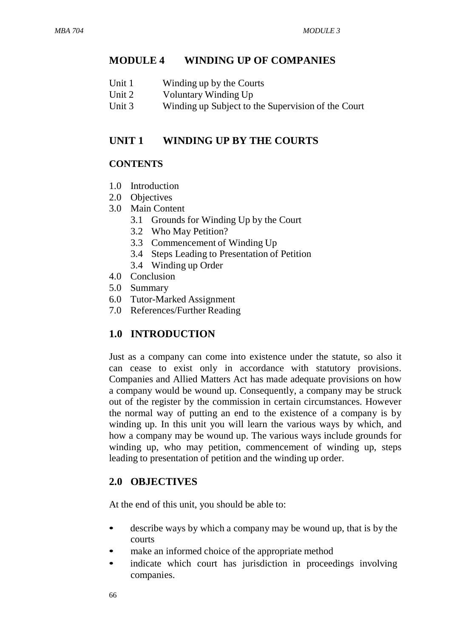### **MODULE 4 WINDING UP OF COMPANIES**

| Unit 1 | Winding up by the Courts |  |
|--------|--------------------------|--|
|--------|--------------------------|--|

- Unit 2 Voluntary Winding Up<br>
Unit 3 Winding up Subject to
- Winding up Subject to the Supervision of the Court

#### **UNIT 1 WINDING UP BY THE COURTS**

#### **CONTENTS**

- 1.0 Introduction
- 2.0 Objectives
- 3.0 Main Content
	- 3.1 Grounds for Winding Up by the Court
	- 3.2 Who May Petition?
	- 3.3 Commencement of Winding Up
	- 3.4 Steps Leading to Presentation of Petition
	- 3.4 Winding up Order
- 4.0 Conclusion
- 5.0 Summary
- 6.0 Tutor-Marked Assignment
- 7.0 References/Further Reading

#### **1.0 INTRODUCTION**

Just as a company can come into existence under the statute, so also it can cease to exist only in accordance with statutory provisions. Companies and Allied Matters Act has made adequate provisions on how a company would be wound up. Consequently, a company may be struck out of the register by the commission in certain circumstances. However the normal way of putting an end to the existence of a company is by winding up. In this unit you will learn the various ways by which, and how a company may be wound up. The various ways include grounds for winding up, who may petition, commencement of winding up, steps leading to presentation of petition and the winding up order.

#### **2.0 OBJECTIVES**

At the end of this unit, you should be able to:

- describe ways by which a company may be wound up, that is by the courts
- make an informed choice of the appropriate method
- indicate which court has jurisdiction in proceedings involving companies.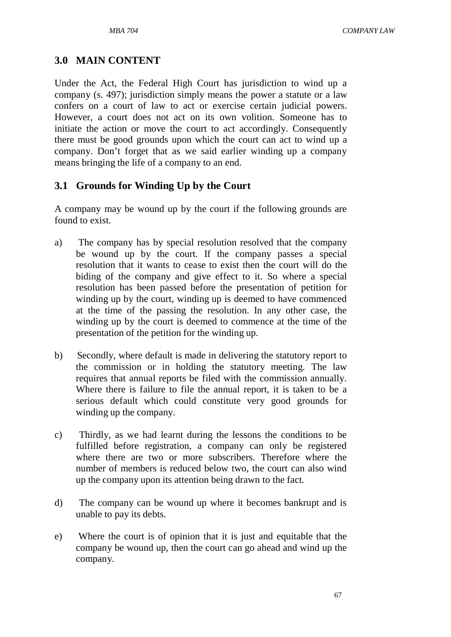# **3.0 MAIN CONTENT**

Under the Act, the Federal High Court has jurisdiction to wind up a company (s. 497); jurisdiction simply means the power a statute or a law confers on a court of law to act or exercise certain judicial powers. However, a court does not act on its own volition. Someone has to initiate the action or move the court to act accordingly. Consequently there must be good grounds upon which the court can act to wind up a company. Don't forget that as we said earlier winding up a company means bringing the life of a company to an end.

### **3.1 Grounds for Winding Up by the Court**

A company may be wound up by the court if the following grounds are found to exist.

- a) The company has by special resolution resolved that the company be wound up by the court. If the company passes a special resolution that it wants to cease to exist then the court will do the biding of the company and give effect to it. So where a special resolution has been passed before the presentation of petition for winding up by the court, winding up is deemed to have commenced at the time of the passing the resolution. In any other case, the winding up by the court is deemed to commence at the time of the presentation of the petition for the winding up.
- b) Secondly, where default is made in delivering the statutory report to the commission or in holding the statutory meeting. The law requires that annual reports be filed with the commission annually. Where there is failure to file the annual report, it is taken to be a serious default which could constitute very good grounds for winding up the company.
- c) Thirdly, as we had learnt during the lessons the conditions to be fulfilled before registration, a company can only be registered where there are two or more subscribers. Therefore where the number of members is reduced below two, the court can also wind up the company upon its attention being drawn to the fact.
- d) The company can be wound up where it becomes bankrupt and is unable to pay its debts.
- e) Where the court is of opinion that it is just and equitable that the company be wound up, then the court can go ahead and wind up the company.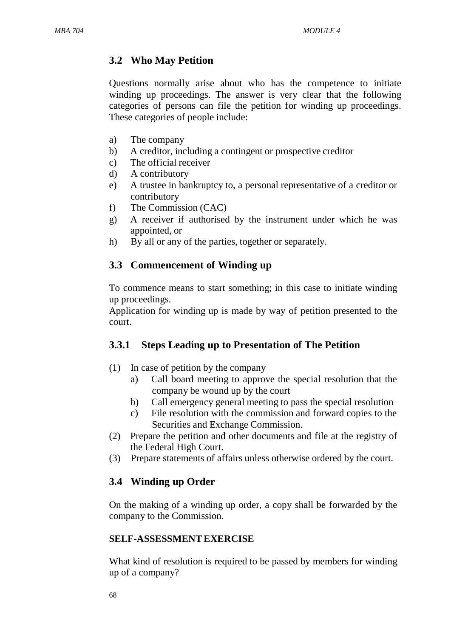# **3.2 Who May Petition**

Questions normally arise about who has the competence to initiate winding up proceedings. The answer is very clear that the following categories of persons can file the petition for winding up proceedings. These categories of people include:

- a) The company
- b) A creditor, including a contingent or prospective creditor
- c) The official receiver
- d) A contributory
- e) A trustee in bankruptcy to, a personal representative of a creditor or contributory
- f) The Commission (CAC)
- g) A receiver if authorised by the instrument under which he was appointed, or
- h) By all or any of the parties, together or separately.

### **3.3 Commencement of Winding up**

To commence means to start something; in this case to initiate winding up proceedings.

Application for winding up is made by way of petition presented to the court.

# **3.3.1 Steps Leading up to Presentation of The Petition**

- (1) In case of petition by the company
	- a) Call board meeting to approve the special resolution that the company be wound up by the court
	- b) Call emergency general meeting to pass the special resolution
	- c) File resolution with the commission and forward copies to the Securities and Exchange Commission.
- (2) Prepare the petition and other documents and file at the registry of the Federal High Court.
- (3) Prepare statements of affairs unless otherwise ordered by the court.

# **3.4 Winding up Order**

On the making of a winding up order, a copy shall be forwarded by the company to the Commission.

#### **SELF-ASSESSMENTEXERCISE**

What kind of resolution is required to be passed by members for winding up of a company?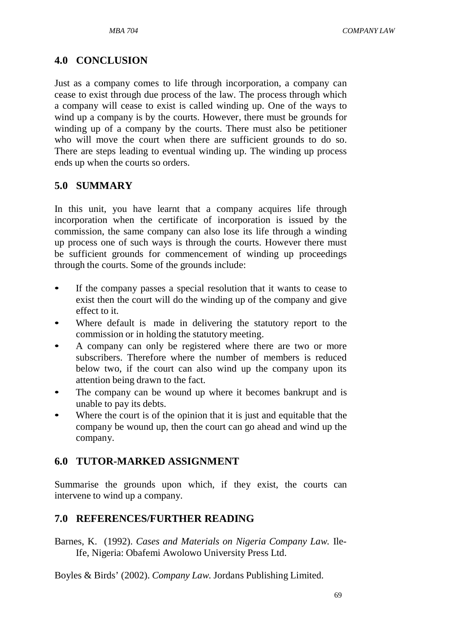# **4.0 CONCLUSION**

Just as a company comes to life through incorporation, a company can cease to exist through due process of the law. The process through which a company will cease to exist is called winding up. One of the ways to wind up a company is by the courts. However, there must be grounds for winding up of a company by the courts. There must also be petitioner who will move the court when there are sufficient grounds to do so. There are steps leading to eventual winding up. The winding up process ends up when the courts so orders.

### **5.0 SUMMARY**

In this unit, you have learnt that a company acquires life through incorporation when the certificate of incorporation is issued by the commission, the same company can also lose its life through a winding up process one of such ways is through the courts. However there must be sufficient grounds for commencement of winding up proceedings through the courts. Some of the grounds include:

- If the company passes a special resolution that it wants to cease to exist then the court will do the winding up of the company and give effect to it.
- Where default is made in delivering the statutory report to the commission or in holding the statutory meeting.
- A company can only be registered where there are two or more subscribers. Therefore where the number of members is reduced below two, if the court can also wind up the company upon its attention being drawn to the fact.
- The company can be wound up where it becomes bankrupt and is unable to pay its debts.
- Where the court is of the opinion that it is just and equitable that the company be wound up, then the court can go ahead and wind up the company.

### **6.0 TUTOR-MARKED ASSIGNMENT**

Summarise the grounds upon which, if they exist, the courts can intervene to wind up a company.

### **7.0 REFERENCES/FURTHER READING**

Barnes, K. (1992). *Cases and Materials on Nigeria Company Law.* Ile-Ife, Nigeria: Obafemi Awolowo University Press Ltd.

Boyles & Birds' (2002). *Company Law*. Jordans Publishing Limited.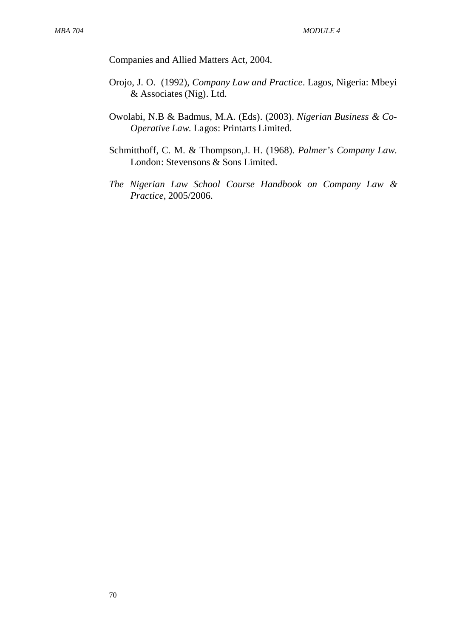- Orojo, J. O. (1992), *Company Law and Practice*. Lagos, Nigeria: Mbeyi & Associates (Nig). Ltd.
- Owolabi, N.B & Badmus, M.A. (Eds). (2003). *Nigerian Business & Co-Operative Law*. Lagos: Printarts Limited.
- Schmitthoff, C. M. & Thompson,J. H. (1968). *Palmer's Company Law*. London: Stevensons & Sons Limited.
- *The Nigerian Law School Course Handbook on Company Law & Practice*, 2005/2006.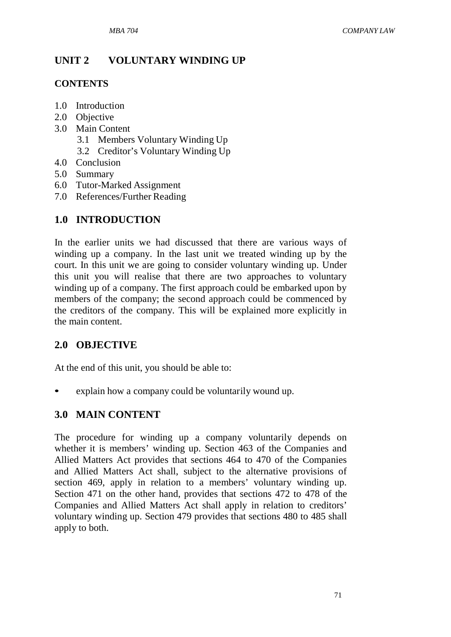# **UNIT 2 VOLUNTARY WINDING UP**

### **CONTENTS**

- 1.0 Introduction
- 2.0 Objective
- 3.0 Main Content
	- 3.1 Members Voluntary Winding Up
	- 3.2 Creditor's Voluntary Winding Up
- 4.0 Conclusion
- 5.0 Summary
- 6.0 Tutor-Marked Assignment
- 7.0 References/Further Reading

# **1.0 INTRODUCTION**

In the earlier units we had discussed that there are various ways of winding up a company. In the last unit we treated winding up by the court. In this unit we are going to consider voluntary winding up. Under this unit you will realise that there are two approaches to voluntary winding up of a company. The first approach could be embarked upon by members of the company; the second approach could be commenced by the creditors of the company. This will be explained more explicitly in the main content.

# **2.0 OBJECTIVE**

At the end of this unit, you should be able to:

explain how a company could be voluntarily wound up.

# **3.0 MAIN CONTENT**

The procedure for winding up a company voluntarily depends on whether it is members' winding up. Section 463 of the Companies and Allied Matters Act provides that sections 464 to 470 of the Companies and Allied Matters Act shall, subject to the alternative provisions of section 469, apply in relation to a members' voluntary winding up. Section 471 on the other hand, provides that sections 472 to 478 of the Companies and Allied Matters Act shall apply in relation to creditors' voluntary winding up. Section 479 provides that sections 480 to 485 shall apply to both.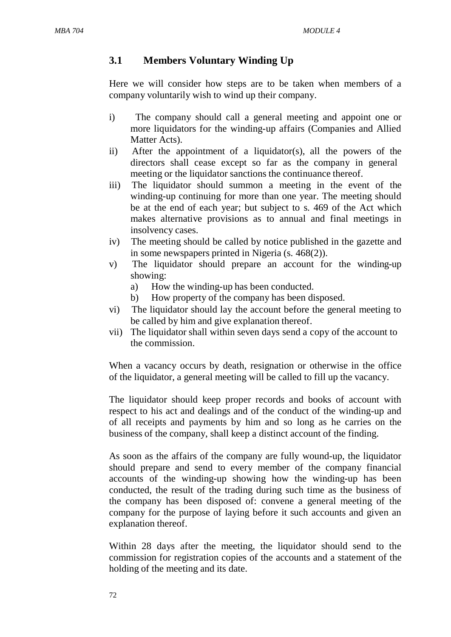## **3.1 Members Voluntary Winding Up**

Here we will consider how steps are to be taken when members of a company voluntarily wish to wind up their company.

- i) The company should call a general meeting and appoint one or more liquidators for the winding-up affairs (Companies and Allied Matter Acts).
- ii) After the appointment of a liquidator(s), all the powers of the directors shall cease except so far as the company in general meeting or the liquidator sanctions the continuance thereof.
- iii) The liquidator should summon a meeting in the event of the winding-up continuing for more than one year. The meeting should be at the end of each year; but subject to s. 469 of the Act which makes alternative provisions as to annual and final meetings in insolvency cases.
- iv) The meeting should be called by notice published in the gazette and in some newspapers printed in Nigeria (s. 468(2)).
- v) The liquidator should prepare an account for the winding-up showing:
	- a) How the winding-up has been conducted.
	- b) How property of the company has been disposed.
- vi) The liquidator should lay the account before the general meeting to be called by him and give explanation thereof.
- vii) The liquidator shall within seven days send a copy of the account to the commission.

When a vacancy occurs by death, resignation or otherwise in the office of the liquidator, a general meeting will be called to fill up the vacancy.

The liquidator should keep proper records and books of account with respect to his act and dealings and of the conduct of the winding-up and of all receipts and payments by him and so long as he carries on the business of the company, shall keep a distinct account of the finding.

As soon as the affairs of the company are fully wound-up, the liquidator should prepare and send to every member of the company financial accounts of the winding-up showing how the winding-up has been conducted, the result of the trading during such time as the business of the company has been disposed of: convene a general meeting of the company for the purpose of laying before it such accounts and given an explanation thereof.

Within 28 days after the meeting, the liquidator should send to the commission for registration copies of the accounts and a statement of the holding of the meeting and its date.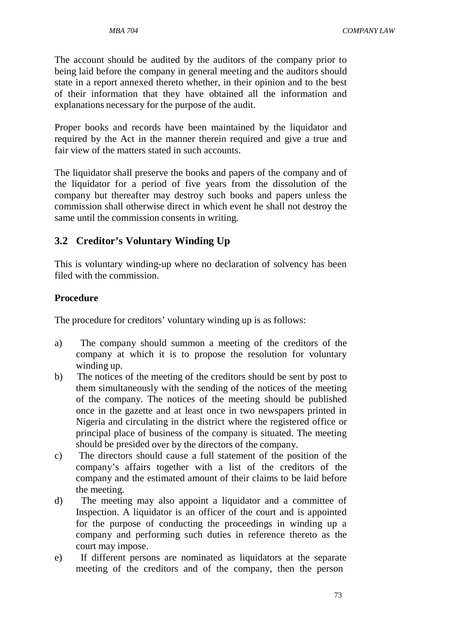The account should be audited by the auditors of the company prior to being laid before the company in general meeting and the auditors should state in a report annexed thereto whether, in their opinion and to the best of their information that they have obtained all the information and explanations necessary for the purpose of the audit.

Proper books and records have been maintained by the liquidator and required by the Act in the manner therein required and give a true and fair view of the matters stated in such accounts.

The liquidator shall preserve the books and papers of the company and of the liquidator for a period of five years from the dissolution of the company but thereafter may destroy such books and papers unless the commission shall otherwise direct in which event he shall not destroy the same until the commission consents in writing.

# **3.2 Creditor's Voluntary Winding Up**

This is voluntary winding-up where no declaration of solvency has been filed with the commission.

### **Procedure**

The procedure for creditors' voluntary winding up is as follows:

- a) The company should summon a meeting of the creditors of the company at which it is to propose the resolution for voluntary winding up.
- b) The notices of the meeting of the creditors should be sent by post to them simultaneously with the sending of the notices of the meeting of the company. The notices of the meeting should be published once in the gazette and at least once in two newspapers printed in Nigeria and circulating in the district where the registered office or principal place of business of the company is situated. The meeting should be presided over by the directors of the company.
- c) The directors should cause a full statement of the position of the company's affairs together with a list of the creditors of the company and the estimated amount of their claims to be laid before the meeting.
- d) The meeting may also appoint a liquidator and a committee of Inspection. A liquidator is an officer of the court and is appointed for the purpose of conducting the proceedings in winding up a company and performing such duties in reference thereto as the court may impose.
- e) If different persons are nominated as liquidators at the separate meeting of the creditors and of the company, then the person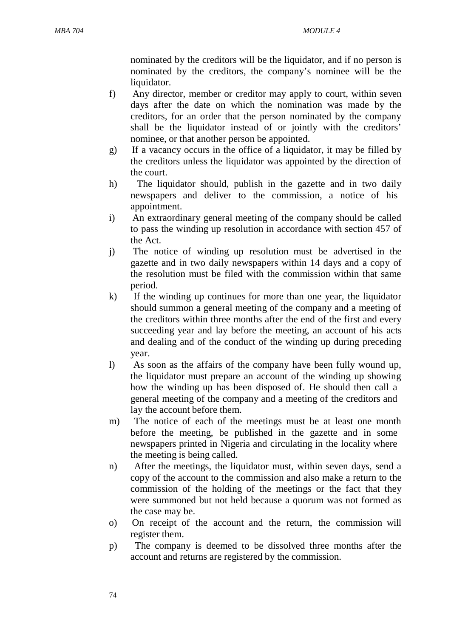nominated by the creditors will be the liquidator, and if no person is nominated by the creditors, the company's nominee will be the liquidator.

- f) Any director, member or creditor may apply to court, within seven days after the date on which the nomination was made by the creditors, for an order that the person nominated by the company shall be the liquidator instead of or jointly with the creditors' nominee, or that another person be appointed.
- g) If a vacancy occurs in the office of a liquidator, it may be filled by the creditors unless the liquidator was appointed by the direction of the court.
- h) The liquidator should, publish in the gazette and in two daily newspapers and deliver to the commission, a notice of his appointment.
- i) An extraordinary general meeting of the company should be called to pass the winding up resolution in accordance with section 457 of the Act.
- j) The notice of winding up resolution must be advertised in the gazette and in two daily newspapers within 14 days and a copy of the resolution must be filed with the commission within that same period.
- k) If the winding up continues for more than one year, the liquidator should summon a general meeting of the company and a meeting of the creditors within three months after the end of the first and every succeeding year and lay before the meeting, an account of his acts and dealing and of the conduct of the winding up during preceding year.
- l) As soon as the affairs of the company have been fully wound up, the liquidator must prepare an account of the winding up showing how the winding up has been disposed of. He should then call a general meeting of the company and a meeting of the creditors and lay the account before them.
- m) The notice of each of the meetings must be at least one month before the meeting, be published in the gazette and in some newspapers printed in Nigeria and circulating in the locality where the meeting is being called.
- n) After the meetings, the liquidator must, within seven days, send a copy of the account to the commission and also make a return to the commission of the holding of the meetings or the fact that they were summoned but not held because a quorum was not formed as the case may be.
- o) On receipt of the account and the return, the commission will register them.
- p) The company is deemed to be dissolved three months after the account and returns are registered by the commission.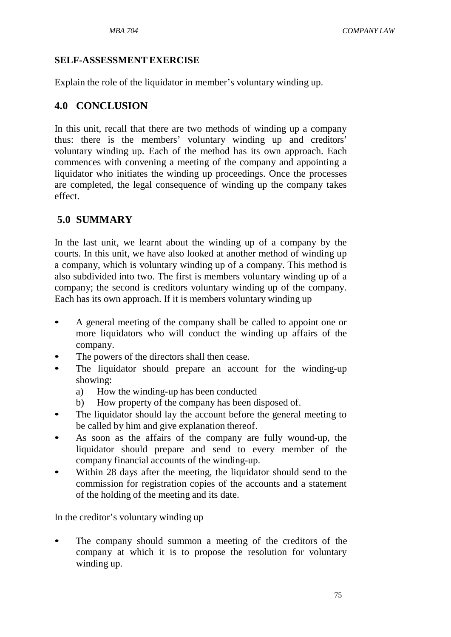### **SELF-ASSESSMENTEXERCISE**

Explain the role of the liquidator in member's voluntary winding up.

# **4.0 CONCLUSION**

In this unit, recall that there are two methods of winding up a company thus: there is the members' voluntary winding up and creditors' voluntary winding up. Each of the method has its own approach. Each commences with convening a meeting of the company and appointing a liquidator who initiates the winding up proceedings. Once the processes are completed, the legal consequence of winding up the company takes effect.

# **5.0 SUMMARY**

In the last unit, we learnt about the winding up of a company by the courts. In this unit, we have also looked at another method of winding up a company, which is voluntary winding up of a company. This method is also subdivided into two. The first is members voluntary winding up of a company; the second is creditors voluntary winding up of the company. Each has its own approach. If it is members voluntary winding up

- A general meeting of the company shall be called to appoint one or more liquidators who will conduct the winding up affairs of the company.
- The powers of the directors shall then cease.
- The liquidator should prepare an account for the winding-up showing:
	- a) How the winding-up has been conducted
	- b) How property of the company has been disposed of.
- The liquidator should lay the account before the general meeting to be called by him and give explanation thereof.
- As soon as the affairs of the company are fully wound-up, the liquidator should prepare and send to every member of the company financial accounts of the winding-up.
- Within 28 days after the meeting, the liquidator should send to the commission for registration copies of the accounts and a statement of the holding of the meeting and its date.

In the creditor's voluntary winding up

The company should summon a meeting of the creditors of the company at which it is to propose the resolution for voluntary winding up.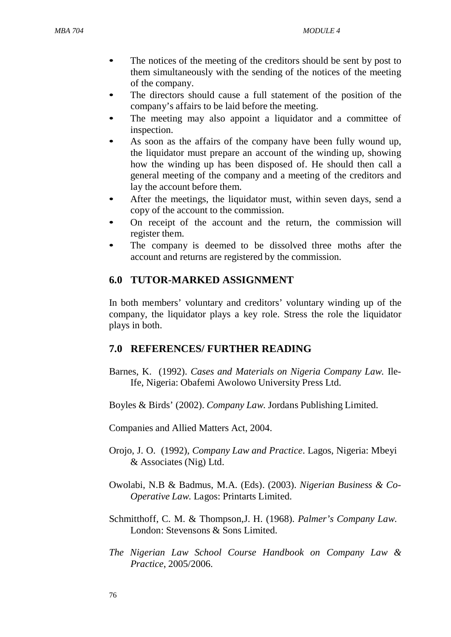- The notices of the meeting of the creditors should be sent by post to them simultaneously with the sending of the notices of the meeting of the company.
- The directors should cause a full statement of the position of the company's affairs to be laid before the meeting.
- The meeting may also appoint a liquidator and a committee of inspection.
- As soon as the affairs of the company have been fully wound up, the liquidator must prepare an account of the winding up, showing how the winding up has been disposed of. He should then call a general meeting of the company and a meeting of the creditors and lay the account before them.
- After the meetings, the liquidator must, within seven days, send a copy of the account to the commission.
- On receipt of the account and the return, the commission will register them.
- The company is deemed to be dissolved three moths after the account and returns are registered by the commission.

# **6.0 TUTOR-MARKED ASSIGNMENT**

In both members' voluntary and creditors' voluntary winding up of the company, the liquidator plays a key role. Stress the role the liquidator plays in both.

# **7.0 REFERENCES/ FURTHER READING**

Barnes, K. (1992). *Cases and Materials on Nigeria Company Law.* Ile-Ife, Nigeria: Obafemi Awolowo University Press Ltd.

Boyles & Birds' (2002). *Company Law*. Jordans Publishing Limited.

- Orojo, J. O. (1992), *Company Law and Practice*. Lagos, Nigeria: Mbeyi & Associates (Nig) Ltd.
- Owolabi, N.B & Badmus, M.A. (Eds). (2003). *Nigerian Business & Co-Operative Law*. Lagos: Printarts Limited.
- Schmitthoff, C. M. & Thompson,J. H. (1968). *Palmer's Company Law*. London: Stevensons & Sons Limited.
- *The Nigerian Law School Course Handbook on Company Law & Practice*, 2005/2006.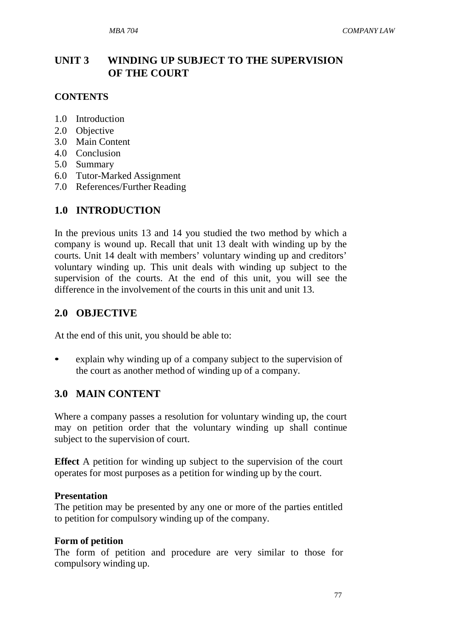# **UNIT 3 WINDING UP SUBJECT TO THE SUPERVISION OF THE COURT**

### **CONTENTS**

- 1.0 Introduction
- 2.0 Objective
- 3.0 Main Content
- 4.0 Conclusion
- 5.0 Summary
- 6.0 Tutor-Marked Assignment
- 7.0 References/Further Reading

### **1.0 INTRODUCTION**

In the previous units 13 and 14 you studied the two method by which a company is wound up. Recall that unit 13 dealt with winding up by the courts. Unit 14 dealt with members' voluntary winding up and creditors' voluntary winding up. This unit deals with winding up subject to the supervision of the courts. At the end of this unit, you will see the difference in the involvement of the courts in this unit and unit 13.

### **2.0 OBJECTIVE**

At the end of this unit, you should be able to:

explain why winding up of a company subject to the supervision of the court as another method of winding up of a company.

### **3.0 MAIN CONTENT**

Where a company passes a resolution for voluntary winding up, the court may on petition order that the voluntary winding up shall continue subject to the supervision of court.

**Effect** A petition for winding up subject to the supervision of the court operates for most purposes as a petition for winding up by the court.

### **Presentation**

The petition may be presented by any one or more of the parties entitled to petition for compulsory winding up of the company.

#### **Form of petition**

The form of petition and procedure are very similar to those for compulsory winding up.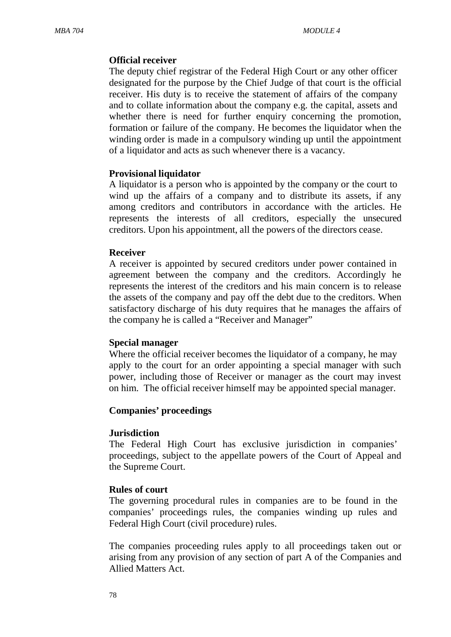### **Official receiver**

The deputy chief registrar of the Federal High Court or any other officer designated for the purpose by the Chief Judge of that court is the official receiver. His duty is to receive the statement of affairs of the company and to collate information about the company e.g. the capital, assets and whether there is need for further enquiry concerning the promotion, formation or failure of the company. He becomes the liquidator when the winding order is made in a compulsory winding up until the appointment of a liquidator and acts as such whenever there is a vacancy.

#### **Provisional liquidator**

A liquidator is a person who is appointed by the company or the court to wind up the affairs of a company and to distribute its assets, if any among creditors and contributors in accordance with the articles. He represents the interests of all creditors, especially the unsecured creditors. Upon his appointment, all the powers of the directors cease.

#### **Receiver**

A receiver is appointed by secured creditors under power contained in agreement between the company and the creditors. Accordingly he represents the interest of the creditors and his main concern is to release the assets of the company and pay off the debt due to the creditors. When satisfactory discharge of his duty requires that he manages the affairs of the company he is called a "Receiver and Manager"

#### **Special manager**

Where the official receiver becomes the liquidator of a company, he may apply to the court for an order appointing a special manager with such power, including those of Receiver or manager as the court may invest on him. The official receiver himself may be appointed special manager.

#### **Companies' proceedings**

#### **Jurisdiction**

The Federal High Court has exclusive jurisdiction in companies' proceedings, subject to the appellate powers of the Court of Appeal and the Supreme Court.

#### **Rules of court**

The governing procedural rules in companies are to be found in the companies' proceedings rules, the companies winding up rules and Federal High Court (civil procedure) rules.

The companies proceeding rules apply to all proceedings taken out or arising from any provision of any section of part A of the Companies and Allied Matters Act.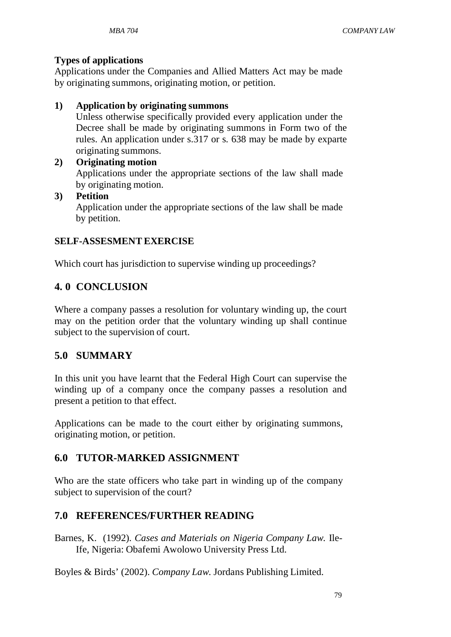### **Types of applications**

Applications under the Companies and Allied Matters Act may be made by originating summons, originating motion, or petition.

### **1) Application by originating summons**

Unless otherwise specifically provided every application under the Decree shall be made by originating summons in Form two of the rules. An application under s.317 or s. 638 may be made by exparte originating summons.

- **2) Originating motion** Applications under the appropriate sections of the law shall made by originating motion.
- **3) Petition**

Application under the appropriate sections of the law shall be made by petition.

### **SELF-ASSESMENT EXERCISE**

Which court has jurisdiction to supervise winding up proceedings?

# **4. 0 CONCLUSION**

Where a company passes a resolution for voluntary winding up, the court may on the petition order that the voluntary winding up shall continue subject to the supervision of court.

# **5.0 SUMMARY**

In this unit you have learnt that the Federal High Court can supervise the winding up of a company once the company passes a resolution and present a petition to that effect.

Applications can be made to the court either by originating summons, originating motion, or petition.

# **6.0 TUTOR-MARKED ASSIGNMENT**

Who are the state officers who take part in winding up of the company subject to supervision of the court?

# **7.0 REFERENCES/FURTHER READING**

Barnes, K. (1992). *Cases and Materials on Nigeria Company Law.* Ile-Ife, Nigeria: Obafemi Awolowo University Press Ltd.

Boyles & Birds' (2002). *Company Law*. Jordans Publishing Limited.